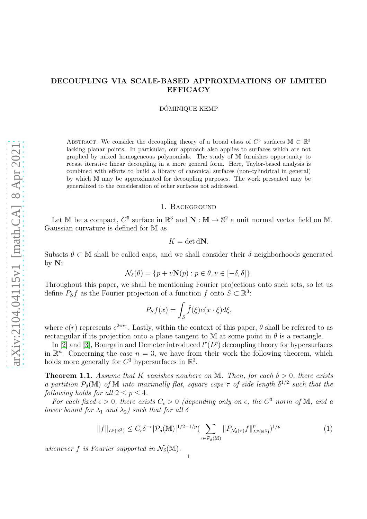# DECOUPLING VIA SCALE-BASED APPROXIMATIONS OF LIMITED EFFICACY

DÓMINIQUE KEMP

ABSTRACT. We consider the decoupling theory of a broad class of  $C^5$  surfaces  $\mathbb{M} \subset \mathbb{R}^3$ lacking planar points. In particular, our approach also applies to surfaces which are not graphed by mixed homogeneous polynomials. The study of M furnishes opportunity to recast iterative linear decoupling in a more general form. Here, Taylor-based analysis is combined with efforts to build a library of canonical surfaces (non-cylindrical in general) by which M may be approximated for decoupling purposes. The work presented may be generalized to the consideration of other surfaces not addressed.

# 1. Background

Let M be a compact,  $C^5$  surface in  $\mathbb{R}^3$  and  $\mathbb{N} : \mathbb{M} \to \mathbb{S}^2$  a unit normal vector field on M. Gaussian curvature is defined for M as

$$
K = \det dN.
$$

Subsets  $\theta \subset M$  shall be called caps, and we shall consider their  $\delta$ -neighborhoods generated by  $N$ :

$$
\mathcal{N}_{\delta}(\theta) = \{ p + v\mathbf{N}(p) : p \in \theta, v \in [-\delta, \delta] \}.
$$

Throughout this paper, we shall be mentioning Fourier projections onto such sets, so let us define  $P_S f$  as the Fourier projection of a function f onto  $S \subset \mathbb{R}^3$ :

$$
P_S f(x) = \int_S \hat{f}(\xi) e(x \cdot \xi) d\xi,
$$

where  $e(r)$  represents  $e^{2\pi ir}$ . Lastly, within the context of this paper,  $\theta$  shall be referred to as rectangular if its projection onto a plane tangent to M at some point in  $\theta$  is a rectangle.

In [\[2\]](#page-28-0) and [\[3\]](#page-28-1), Bourgain and Demeter introduced  $l^{r}(L^{p})$  decoupling theory for hypersurfaces in  $\mathbb{R}^n$ . Concerning the case  $n=3$ , we have from their work the following theorem, which holds more generally for  $C^3$  hypersurfaces in  $\mathbb{R}^3$ .

<span id="page-0-1"></span>**Theorem 1.1.** Assume that K vanishes nowhere on M. Then, for each  $\delta > 0$ , there exists a partition  $P_{\delta}(\mathbb{M})$  of M into maximally flat, square caps  $\tau$  of side length  $\delta^{1/2}$  such that the following holds for all  $2 \le p \le 4$ .

For each fixed  $\epsilon > 0$ , there exists  $C_{\epsilon} > 0$  (depending only on  $\epsilon$ , the  $C^3$  norm of M, and a lower bound for  $\lambda_1$  and  $\lambda_2$ ) such that for all  $\delta$ 

<span id="page-0-0"></span>
$$
||f||_{L^p(\mathbb{R}^3)} \leq C_{\epsilon} \delta^{-\epsilon} |\mathcal{P}_{\delta}(\mathbb{M})|^{1/2 - 1/p} \left( \sum_{\tau \in \mathcal{P}_{\delta}(\mathbb{M})} ||P_{\mathcal{N}_{\delta}(\tau)} f||_{L^p(\mathbb{R}^3)}^p \right)^{1/p} \tag{1}
$$

whenever f is Fourier supported in  $\mathcal{N}_{\delta}(\mathbb{M})$ .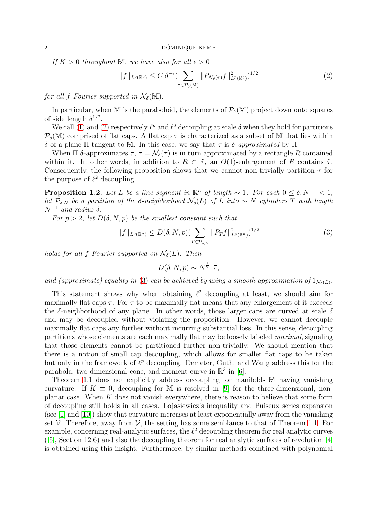If  $K > 0$  throughout M, we have also for all  $\epsilon > 0$ 

<span id="page-1-0"></span>
$$
||f||_{L^p(\mathbb{R}^3)} \leq C_{\epsilon} \delta^{-\epsilon} \left( \sum_{\tau \in \mathcal{P}_{\delta}(\mathbb{M})} ||P_{\mathcal{N}_{\delta}(\tau)} f||_{L^p(\mathbb{R}^3)}^2 \right)^{1/2} \tag{2}
$$

for all f Fourier supported in  $\mathcal{N}_{\delta}(\mathbb{M})$ .

In particular, when M is the paraboloid, the elements of  $P_{\delta}(M)$  project down onto squares of side length  $\delta^{1/2}$ .

We call [\(1\)](#page-0-0) and [\(2\)](#page-1-0) respectively  $\ell^p$  and  $\ell^2$  decoupling at scale  $\delta$  when they hold for partitions  $P_{\delta}(\mathbb{M})$  comprised of flat caps. A flat cap  $\tau$  is characterized as a subset of M that lies within δ of a plane Π tangent to M. In this case, we say that τ is δ-approximated by Π.

When  $\Pi$  δ-approximates  $\tau$ ,  $\tilde{\tau} = \mathcal{N}_{\delta}(\tau)$  is in turn approximated by a rectangle R contained within it. In other words, in addition to  $R \subset \tilde{\tau}$ , an  $O(1)$ -enlargement of R contains  $\tilde{\tau}$ . Consequently, the following proposition shows that we cannot non-trivially partition  $\tau$  for the purpose of  $\ell^2$  decoupling.

<span id="page-1-2"></span>**Proposition 1.2.** Let L be a line segment in  $\mathbb{R}^n$  of length  $\sim 1$ . For each  $0 \leq \delta, N^{-1} < 1$ , let  $\overline{P}_{\delta,N}$  be a partition of the δ-neighborhood  $\mathcal{N}_{\delta}(L)$  of L into  $\sim N$  cylinders T with length  $N^{-1}$  and radius  $\delta$ .

For  $p > 2$ , let  $D(\delta, N, p)$  be the smallest constant such that

<span id="page-1-1"></span>
$$
||f||_{L^{p}(\mathbb{R}^{n})} \leq D(\delta, N, p)(\sum_{T \in \mathcal{P}_{\delta, N}} ||P_{T}f||_{L^{p}(\mathbb{R}^{n})}^{2})^{1/2}
$$
\n(3)

holds for all f Fourier supported on  $\mathcal{N}_{\delta}(L)$ . Then

$$
D(\delta, N, p) \sim N^{\frac{1}{2} - \frac{1}{p}},
$$

and (approximate) equality in [\(3\)](#page-1-1) can be achieved by using a smooth approximation of  $1_{\mathcal{N}_{\delta}(L)}$ .

This statement shows why when obtaining  $\ell^2$  decoupling at least, we should aim for maximally flat caps  $\tau$ . For  $\tau$  to be maximally flat means that any enlargement of it exceeds the  $\delta$ -neighborhood of any plane. In other words, those larger caps are curved at scale  $\delta$ and may be decoupled without violating the proposition. However, we cannot decouple maximally flat caps any further without incurring substantial loss. In this sense, decoupling partitions whose elements are each maximally flat may be loosely labeled maximal, signaling that those elements cannot be partitioned further non-trivially. We should mention that there is a notion of small cap decoupling, which allows for smaller flat caps to be taken but only in the framework of  $\ell^p$  decoupling. Demeter, Guth, and Wang address this for the parabola, two-dimensional cone, and moment curve in  $\mathbb{R}^3$  in [\[6\]](#page-28-2).

Theorem [1.1](#page-0-1) does not explicitly address decoupling for manifolds M having vanishing curvature. If  $K \equiv 0$ , decoupling for M is resolved in [\[9\]](#page-28-3) for the three-dimensional, nonplanar case. When  $K$  does not vanish everywhere, there is reason to believe that some form of decoupling still holds in all cases. Lojasiewicz's inequality and Puiseux series expansion (see [\[1\]](#page-28-4) and [\[10\]](#page-28-5)) show that curvature increases at least exponentially away from the vanishing set  $V$ . Therefore, away from  $V$ , the setting has some semblance to that of Theorem [1.1.](#page-0-1) For example, concerning real-analytic surfaces, the  $\ell^2$  decoupling theorem for real analytic curves ([\[5\]](#page-28-6), Section 12.6) and also the decoupling theorem for real analytic surfaces of revolution [\[4\]](#page-28-7) is obtained using this insight. Furthermore, by similar methods combined with polynomial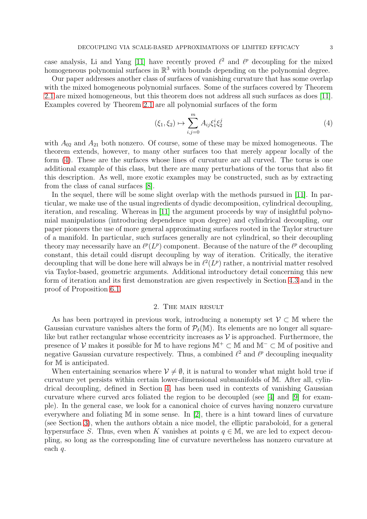case analysis, Li and Yang [\[11\]](#page-28-8) have recently proved  $\ell^2$  and  $\ell^p$  decoupling for the mixed homogeneous polynomial surfaces in  $\mathbb{R}^3$  with bounds depending on the polynomial degree.

Our paper addresses another class of surfaces of vanishing curvature that has some overlap with the mixed homogeneous polynomial surfaces. Some of the surfaces covered by Theorem [2.1](#page-3-0) are mixed homogeneous, but this theorem does not address all such surfaces as does [\[11\]](#page-28-8). Examples covered by Theorem [2.1](#page-3-0) are all polynomial surfaces of the form

<span id="page-2-0"></span>
$$
(\xi_1, \xi_2) \mapsto \sum_{i,j=0}^m A_{ij} \xi_1^i \xi_2^j \tag{4}
$$

with  $A_{02}$  and  $A_{21}$  both nonzero. Of course, some of these may be mixed homogeneous. The theorem extends, however, to many other surfaces too that merely appear locally of the form [\(4\)](#page-2-0). These are the surfaces whose lines of curvature are all curved. The torus is one additional example of this class, but there are many perturbations of the torus that also fit this description. As well, more exotic examples may be constructed, such as by extracting from the class of canal surfaces [\[8\]](#page-28-9).

In the sequel, there will be some slight overlap with the methods pursued in [\[11\]](#page-28-8). In particular, we make use of the usual ingredients of dyadic decomposition, cylindrical decoupling, iteration, and rescaling. Whereas in [\[11\]](#page-28-8) the argument proceeds by way of insightful polynomial manipulations (introducing dependence upon degree) and cylindrical decoupling, our paper pioneers the use of more general approximating surfaces rooted in the Taylor structure of a manifold. In particular, such surfaces generally are not cylindrical, so their decoupling theory may necessarily have an  $\ell^p(L^p)$  component. Because of the nature of the  $\ell^p$  decoupling constant, this detail could disrupt decoupling by way of iteration. Critically, the iterative decoupling that will be done here will always be in  $\ell^2(L^p)$  rather, a nontrivial matter resolved via Taylor-based, geometric arguments. Additional introductory detail concerning this new form of iteration and its first demonstration are given respectively in Section [4.3](#page-6-0) and in the proof of Proposition [6.1.](#page-12-0)

### 2. The main result

As has been portrayed in previous work, introducing a nonempty set  $\mathcal{V} \subset \mathbb{M}$  where the Gaussian curvature vanishes alters the form of  $\mathcal{P}_{\delta}(\mathbb{M})$ . Its elements are no longer all squarelike but rather rectangular whose eccentricity increases as  $\mathcal V$  is approached. Furthermore, the presence of V makes it possible for M to have regions  $\mathbb{M}^+ \subset \mathbb{M}$  and  $\mathbb{M}^- \subset \mathbb{M}$  of positive and negative Gaussian curvature respectively. Thus, a combined  $\ell^2$  and  $\ell^p$  decoupling inequality for M is anticipated.

When entertaining scenarios where  $V \neq \emptyset$ , it is natural to wonder what might hold true if curvature yet persists within certain lower-dimensional submanifolds of M. After all, cylindrical decoupling, defined in Section [4,](#page-6-1) has been used in contexts of vanishing Gaussian curvature where curved arcs foliated the region to be decoupled (see [\[4\]](#page-28-7) and [\[9\]](#page-28-3) for example). In the general case, we look for a canonical choice of curves having nonzero curvature everywhere and foliating M in some sense. In [\[2\]](#page-28-0), there is a hint toward lines of curvature (see Section [3\)](#page-3-1), when the authors obtain a nice model, the elliptic paraboloid, for a general hypersurface S. Thus, even when K vanishes at points  $q \in M$ , we are led to expect decoupling, so long as the corresponding line of curvature nevertheless has nonzero curvature at each q.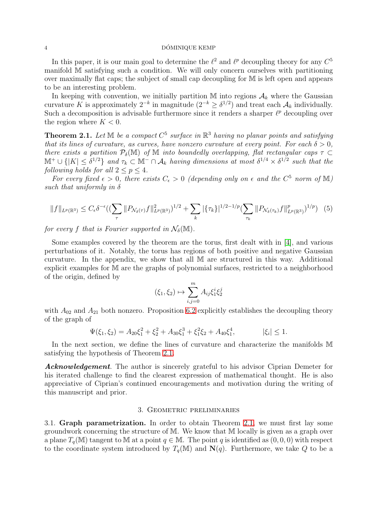## $4\,$  DÓMINIQUE KEMP  $\,$

In this paper, it is our main goal to determine the  $\ell^2$  and  $\ell^p$  decoupling theory for any  $C^5$ manifold M satisfying such a condition. We will only concern ourselves with partitioning over maximally flat caps; the subject of small cap decoupling for M is left open and appears to be an interesting problem.

In keeping with convention, we initially partition  $\mathbb M$  into regions  $\mathcal A_k$  where the Gaussian curvature K is approximately  $2^{-k}$  in magnitude  $(2^{-k} \geq \delta^{1/2})$  and treat each  $\mathcal{A}_k$  individually. Such a decomposition is advisable furthermore since it renders a sharper  $\ell^p$  decoupling over the region where  $K < 0$ .

<span id="page-3-0"></span>**Theorem 2.1.** Let  $\mathbb M$  be a compact  $C^5$  surface in  $\mathbb R^3$  having no planar points and satisfying that its lines of curvature, as curves, have nonzero curvature at every point. For each  $\delta > 0$ , there exists a partition  $\mathcal{P}_{\delta}(\mathbb{M})$  of M into boundedly overlapping, flat rectangular caps  $\tau \subset$  $\mathbb{M}^+\cup\{|K|\leq \delta^{1/2}\}\$  and  $\tau_k\subset \mathbb{M}^-\cap \mathcal{A}_k$  having dimensions at most  $\delta^{1/4}\times \delta^{1/2}$  such that the following holds for all  $2 \leq p \leq 4$ .

For every fixed  $\epsilon > 0$ , there exists  $C_{\epsilon} > 0$  (depending only on  $\epsilon$  and the  $C^5$  norm of M) such that uniformly in  $\delta$ 

<span id="page-3-2"></span>
$$
||f||_{L^{p}(\mathbb{R}^{3})} \leq C_{\epsilon} \delta^{-\epsilon} \left( \left( \sum_{\tau} ||P_{\mathcal{N}_{\delta}(\tau)} f||^{2}_{L^{p}(\mathbb{R}^{3})} \right)^{1/2} + \sum_{k} |\{\tau_{k}\}|^{1/2 - 1/p} \left( \sum_{\tau_{k}} ||P_{\mathcal{N}_{\delta}(\tau_{k})} f||^{p}_{L^{p}(\mathbb{R}^{3})} \right)^{1/p} \right) (5)
$$

for every f that is Fourier supported in  $\mathcal{N}_{\delta}(\mathbb{M})$ .

Some examples covered by the theorem are the torus, first dealt with in [\[4\]](#page-28-7), and various perturbations of it. Notably, the torus has regions of both positive and negative Gaussian curvature. In the appendix, we show that all M are structured in this way. Additional explicit examples for M are the graphs of polynomial surfaces, restricted to a neighborhood of the origin, defined by

$$
(\xi_1, \xi_2) \mapsto \sum_{i,j=0}^m A_{ij} \xi_1^i \xi_2^j
$$

with  $A_{02}$  and  $A_{21}$  both nonzero. Proposition [6.2](#page-19-0) explicitly establishes the decoupling theory of the graph of

$$
\Psi(\xi_1, \xi_2) = A_{20}\xi_1^2 + \xi_2^2 + A_{30}\xi_1^3 + \xi_1^2\xi_2 + A_{40}\xi_1^4, \qquad |\xi_i| \le 1.
$$

In the next section, we define the lines of curvature and characterize the manifolds M satisfying the hypothesis of Theorem [2.1.](#page-3-0)

Acknowledgement. The author is sincerely grateful to his advisor Ciprian Demeter for his iterated challenge to find the clearest expression of mathematical thought. He is also appreciative of Ciprian's continued encouragements and motivation during the writing of this manuscript and prior.

## 3. Geometric preliminaries

<span id="page-3-1"></span>3.1. Graph parametrization. In order to obtain Theorem [2.1,](#page-3-0) we must first lay some groundwork concerning the structure of M. We know that M locally is given as a graph over a plane  $T_q(\mathbb{M})$  tangent to M at a point  $q \in \mathbb{M}$ . The point q is identified as  $(0, 0, 0)$  with respect to the coordinate system introduced by  $T_q(\mathbb{M})$  and  $\mathbf{N}(q)$ . Furthermore, we take Q to be a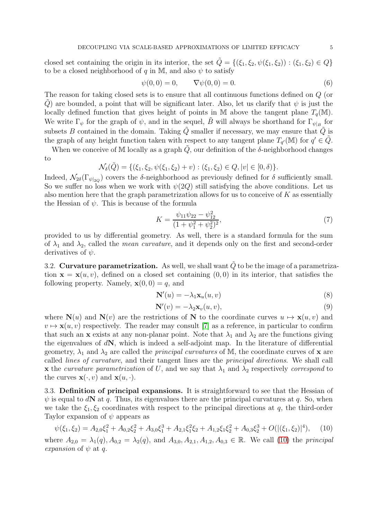closed set containing the origin in its interior, the set  $\tilde{Q} = \{(\xi_1, \xi_2, \psi(\xi_1, \xi_2)) : (\xi_1, \xi_2) \in Q\}$ to be a closed neighborhood of q in M, and also  $\psi$  to satisfy

$$
\psi(0,0) = 0, \qquad \nabla \psi(0,0) = 0.
$$
\n(6)

The reason for taking closed sets is to ensure that all continuous functions defined on Q (or Q are bounded, a point that will be significant later. Also, let us clarify that  $\psi$  is just the locally defined function that gives height of points in M above the tangent plane  $T_q(M)$ . We write  $\Gamma_{\psi}$  for the graph of  $\psi$ , and in the sequel,  $\tilde{B}$  will always be shorthand for  $\Gamma_{\psi|_B}$  for subsets B contained in the domain. Taking  $\tilde{Q}$  smaller if necessary, we may ensure that  $\tilde{Q}$  is the graph of any height function taken with respect to any tangent plane  $T_{q'}(\mathbb{M})$  for  $q' \in \tilde{Q}$ .

When we conceive of M locally as a graph  $\tilde{Q}$ , our definition of the  $\delta$ -neighborhood changes to

$$
\mathcal{N}_{\delta}(\tilde{Q}) = \{ (\xi_1, \xi_2, \psi(\xi_1, \xi_2) + v) : (\xi_1, \xi_2) \in Q, |v| \in [0, \delta) \}.
$$

Indeed,  $\mathcal{N}_{2\delta}(\Gamma_{\psi|_{2Q}})$  covers the  $\delta$ -neighborhood as previously defined for  $\delta$  sufficiently small. So we suffer no loss when we work with  $\psi(2Q)$  still satisfying the above conditions. Let us also mention here that the graph parametrization allows for us to conceive of  $K$  as essentially the Hessian of  $\psi$ . This is because of the formula

<span id="page-4-1"></span>
$$
K = \frac{\psi_{11}\psi_{22} - \psi_{12}^2}{(1 + \psi_1^2 + \psi_2^2)^2},\tag{7}
$$

provided to us by differential geometry. As well, there is a standard formula for the sum of  $\lambda_1$  and  $\lambda_2$ , called the *mean curvature*, and it depends only on the first and second-order derivatives of  $\psi$ .

3.2. Curvature parametrization. As well, we shall want  $\tilde{Q}$  to be the image of a parametrization  $\mathbf{x} = \mathbf{x}(u, v)$ , defined on a closed set containing  $(0, 0)$  in its interior, that satisfies the following property. Namely,  $\mathbf{x}(0, 0) = q$ , and

$$
\mathbf{N}'(u) = -\lambda_1 \mathbf{x}_u(u, v) \tag{8}
$$

$$
\mathbf{N}'(v) = -\lambda_2 \mathbf{x}_v(u, v),\tag{9}
$$

where  $N(u)$  and  $N(v)$  are the restrictions of N to the coordinate curves  $u \mapsto x(u, v)$  and  $v \mapsto \mathbf{x}(u, v)$  respectively. The reader may consult [\[7\]](#page-28-10) as a reference, in particular to confirm that such an x exists at any non-planar point. Note that  $\lambda_1$  and  $\lambda_2$  are the functions giving the eigenvalues of  $dN$ , which is indeed a self-adjoint map. In the literature of differential geometry,  $\lambda_1$  and  $\lambda_2$  are called the *principal curvatures* of M, the coordinate curves of **x** are called lines of curvature, and their tangent lines are the principal directions. We shall call x the curvature parametrization of U, and we say that  $\lambda_1$  and  $\lambda_2$  respectively correspond to the curves  $\mathbf{x}(\cdot, v)$  and  $\mathbf{x}(u, \cdot)$ .

3.3. Definition of principal expansions. It is straightforward to see that the Hessian of  $\psi$  is equal to dN at q. Thus, its eigenvalues there are the principal curvatures at q. So, when we take the  $\xi_1, \xi_2$  coordinates with respect to the principal directions at q, the third-order Taylor expansion of  $\psi$  appears as

<span id="page-4-0"></span>
$$
\psi(\xi_1, \xi_2) = A_{2,0}\xi_1^2 + A_{0,2}\xi_2^2 + A_{3,0}\xi_1^3 + A_{2,1}\xi_1^2\xi_2 + A_{1,2}\xi_1\xi_2^2 + A_{0,3}\xi_2^3 + O(|(\xi_1, \xi_2)|^4),\tag{10}
$$

where  $A_{2,0} = \lambda_1(q), A_{0,2} = \lambda_2(q),$  and  $A_{3,0}, A_{2,1}, A_{1,2}, A_{0,3} \in \mathbb{R}$ . We call [\(10\)](#page-4-0) the principal expansion of  $\psi$  at q.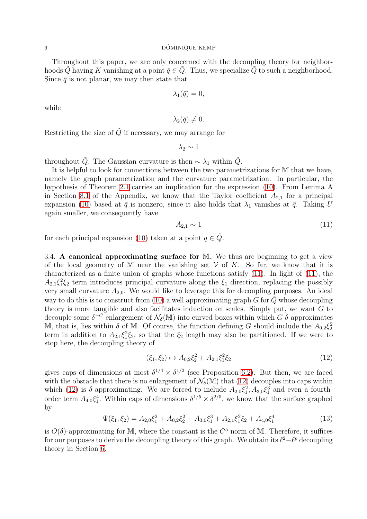### $\sim$  DÓMINIQUE KEMP

Throughout this paper, we are only concerned with the decoupling theory for neighborhoods Q having K vanishing at a point  $\bar{q} \in Q$ . Thus, we specialize Q to such a neighborhood. Since  $\bar{q}$  is not planar, we may then state that

$$
\lambda_1(\bar{q})=0,
$$

while

$$
\lambda_2(\bar{q})\neq 0.
$$

Restricting the size of  $\tilde{Q}$  if necessary, we may arrange for

 $\lambda_2 \sim 1$ 

throughout  $\tilde{Q}$ . The Gaussian curvature is then  $\sim \lambda_1$  within  $\tilde{Q}$ .

It is helpful to look for connections between the two parametrizations for M that we have, namely the graph parametrization and the curvature parametrization. In particular, the hypothesis of Theorem [2.1](#page-3-0) carries an implication for the expression [\(10\)](#page-4-0). From Lemma A in Section [8.1](#page-26-0) of the Appendix, we know that the Taylor coefficient  $A_{2,1}$  for a principal expansion [\(10\)](#page-4-0) based at  $\bar{q}$  is nonzero, since it also holds that  $\lambda_1$  vanishes at  $\bar{q}$ . Taking U again smaller, we consequently have

<span id="page-5-0"></span>
$$
A_{2,1} \sim 1\tag{11}
$$

for each principal expansion [\(10\)](#page-4-0) taken at a point  $q \in \tilde{Q}$ .

3.4. A canonical approximating surface for  $\mathbb{M}$ . We thus are beginning to get a view of the local geometry of M near the vanishing set  $V$  of K. So far, we know that it is characterized as a finite union of graphs whose functions satisfy [\(11\)](#page-5-0). In light of [\(11\)](#page-5-0), the  $A_{2,1}\xi_1^2\xi_2$  term introduces principal curvature along the  $\xi_1$  direction, replacing the possibly very small curvature  $A_{2,0}$ . We would like to leverage this for decoupling purposes. An ideal way to do this is to construct from [\(10\)](#page-4-0) a well approximating graph G for  $\tilde{Q}$  whose decoupling theory is more tangible and also facilitates induction on scales. Simply put, we want  $G$  to decouple some  $\delta^{-C}$  enlargement of  $\mathcal{N}_{\delta}(\mathbb{M})$  into curved boxes within which G  $\delta$ -approximates M, that is, lies within  $\delta$  of M. Of course, the function defining G should include the  $A_{0,2}\xi_2^2$ term in addition to  $A_{2,1}\xi_1^2\xi_2$ , so that the  $\xi_2$  length may also be partitioned. If we were to stop here, the decoupling theory of

<span id="page-5-1"></span>
$$
(\xi_1, \xi_2) \mapsto A_{0,2}\xi_2^2 + A_{2,1}\xi_1^2\xi_2 \tag{12}
$$

gives caps of dimensions at most  $\delta^{1/4} \times \delta^{1/2}$  (see Proposition [6.2\)](#page-19-0). But then, we are faced with the obstacle that there is no enlargement of  $\mathcal{N}_{\delta}(\mathbb{M})$  that [\(12\)](#page-5-1) decouples into caps within which [\(12\)](#page-5-1) is  $\delta$ -approximating. We are forced to include  $A_{2,0}\xi_1^2, A_{3,0}\xi_1^3$  and even a fourthorder term  $A_{4,0}\xi_1^4$ . Within caps of dimensions  $\delta^{1/5} \times \delta^{2/5}$ , we know that the surface graphed by

$$
\Psi(\xi_1, \xi_2) = A_{2,0}\xi_1^2 + A_{0,2}\xi_2^2 + A_{3,0}\xi_1^3 + A_{2,1}\xi_1^2\xi_2 + A_{4,0}\xi_1^4
$$
\n(13)

is  $O(\delta)$ -approximating for M, where the constant is the  $C^5$  norm of M. Therefore, it suffices for our purposes to derive the decoupling theory of this graph. We obtain its  $\ell^2 - \ell^p$  decoupling theory in Section [6.](#page-12-1)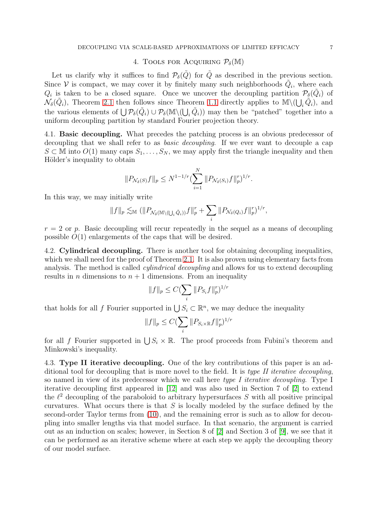## 4. TOOLS FOR ACQUIRING  $P_{\delta}(\mathbb{M})$

<span id="page-6-1"></span>Let us clarify why it suffices to find  $\mathcal{P}_{\delta}(\tilde{Q})$  for  $\tilde{Q}$  as described in the previous section. Since V is compact, we may cover it by finitely many such neighborhoods  $\tilde{Q}_i$ , where each  $Q_i$  is taken to be a closed square. Once we uncover the decoupling partition  $\mathcal{P}_{\delta}(\tilde{Q}_i)$  of  $\mathcal{N}_{\delta}(\tilde{Q}_i)$ , Theorem [2.1](#page-3-0) then follows since Theorem [1.1](#page-0-1) directly applies to  $\mathbb{M}\setminus\left(\bigcup_i\tilde{Q}_i\right)$ , and the various elements of  $\bigcup \mathcal{P}_{\delta}(\tilde{Q}_i) \cup \mathcal{P}_{\delta}(\mathbb{M}\setminus(\bigcup_i \tilde{Q}_i))$  may then be "patched" together into a uniform decoupling partition by standard Fourier projection theory.

4.1. Basic decoupling. What precedes the patching process is an obvious predecessor of decoupling that we shall refer to as *basic decoupling*. If we ever want to decouple a cap  $S \subset \mathbb{M}$  into  $O(1)$  many caps  $S_1, \ldots, S_N$ , we may apply first the triangle inequality and then Hölder's inequality to obtain

$$
||P_{\mathcal{N}_{\delta}(S)}f||_p \leq N^{1-1/r} \left(\sum_{i=1}^N ||P_{\mathcal{N}_{\delta}(S_i)}f||_p^r\right)^{1/r}.
$$

In this way, we may initially write

$$
||f||_p \lesssim_{\mathbb{M}} (||P_{\mathcal{N}_\delta(\mathbb{M}\setminus(\bigcup_i \tilde{Q}_i))}f||_p^r + \sum_i ||P_{\mathcal{N}_\delta(Q_i)}f||_p^r)^{1/r},
$$

 $r = 2$  or p. Basic decoupling will recur repeatedly in the sequel as a means of decoupling possible  $O(1)$  enlargements of the caps that will be desired.

4.2. Cylindrical decoupling. There is another tool for obtaining decoupling inequalities, which we shall need for the proof of Theorem [2.1.](#page-3-0) It is also proven using elementary facts from analysis. The method is called *cylindrical decoupling* and allows for us to extend decoupling results in *n* dimensions to  $n + 1$  dimensions. From an inequality

$$
||f||_p \le C(\sum_i ||P_{S_i}f||_p^r)^{1/r}
$$

that holds for all f Fourier supported in  $\bigcup S_i \subset \mathbb{R}^n$ , we may deduce the inequality

$$
||f||_p \leq C(\sum_i ||P_{S_i \times \mathbb{R}}f||_p^r)^{1/r}
$$

for all f Fourier supported in  $\bigcup S_i \times \mathbb{R}$ . The proof proceeds from Fubini's theorem and Minkowski's inequality.

<span id="page-6-0"></span>4.3. Type II iterative decoupling. One of the key contributions of this paper is an additional tool for decoupling that is more novel to the field. It is type II iterative decoupling, so named in view of its predecessor which we call here type I iterative decoupling. Type I iterative decoupling first appeared in [\[12\]](#page-28-11) and was also used in Section 7 of [\[2\]](#page-28-0) to extend the  $\ell^2$  decoupling of the paraboloid to arbitrary hypersurfaces S with all positive principal curvatures. What occurs there is that  $S$  is locally modeled by the surface defined by the second-order Taylor terms from [\(10\)](#page-4-0), and the remaining error is such as to allow for decoupling into smaller lengths via that model surface. In that scenario, the argument is carried out as an induction on scales; however, in Section 8 of [\[2\]](#page-28-0) and Section 3 of [\[9\]](#page-28-3), we see that it can be performed as an iterative scheme where at each step we apply the decoupling theory of our model surface.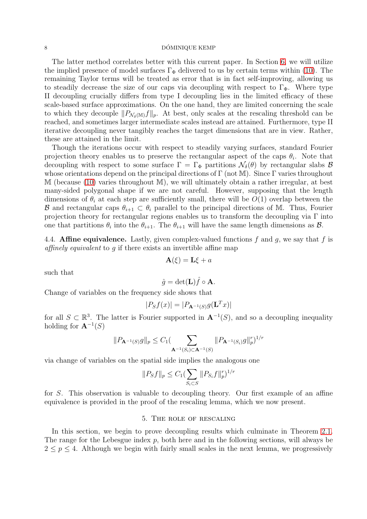#### 8 DÓMINIQUE KEMP

The latter method correlates better with this current paper. In Section [6,](#page-12-1) we will utilize the implied presence of model surfaces  $\Gamma_{\Phi}$  delivered to us by certain terms within [\(10\)](#page-4-0). The remaining Taylor terms will be treated as error that is in fact self-improving, allowing us to steadily decrease the size of our caps via decoupling with respect to  $\Gamma_{\Phi}$ . Where type II decoupling crucially differs from type I decoupling lies in the limited efficacy of these scale-based surface approximations. On the one hand, they are limited concerning the scale to which they decouple  $||P_{\mathcal{N}_{\delta}(\mathbb{M})}f||_p$ . At best, only scales at the rescaling threshold can be reached, and sometimes larger intermediate scales instead are attained. Furthermore, type II iterative decoupling never tangibly reaches the target dimensions that are in view. Rather, these are attained in the limit.

Though the iterations occur with respect to steadily varying surfaces, standard Fourier projection theory enables us to preserve the rectangular aspect of the caps  $\theta_i$ . Note that decoupling with respect to some surface  $\Gamma = \Gamma_{\Phi}$  partitions  $\mathcal{N}_{\delta}(\theta)$  by rectangular slabs  $\mathcal{B}$ whose orientations depend on the principal directions of  $\Gamma$  (not M). Since  $\Gamma$  varies throughout M (because [\(10\)](#page-4-0) varies throughout M), we will ultimately obtain a rather irregular, at best many-sided polygonal shape if we are not careful. However, supposing that the length dimensions of  $\theta_i$  at each step are sufficiently small, there will be  $O(1)$  overlap between the **B** and rectangular caps  $\theta_{i+1} \subset \theta_i$  parallel to the principal directions of M. Thus, Fourier projection theory for rectangular regions enables us to transform the decoupling via  $\Gamma$  into one that partitions  $\theta_i$  into the  $\theta_{i+1}$ . The  $\theta_{i+1}$  will have the same length dimensions as  $\mathcal{B}$ .

4.4. **Affine equivalence.** Lastly, given complex-valued functions f and q, we say that f is affinely equivalent to g if there exists an invertible affine map

$$
\mathbf{A}(\xi) = \mathbf{L}\xi + a
$$

such that

$$
\hat{g} = \det(\mathbf{L})\hat{f} \circ \mathbf{A}.
$$

Change of variables on the frequency side shows that

$$
|P_S f(x)| = |P_{\mathbf{A}^{-1}(S)} g(\mathbf{L}^T x)|
$$

for all  $S \subset \mathbb{R}^3$ . The latter is Fourier supported in  $\mathbf{A}^{-1}(S)$ , and so a decoupling inequality holding for  $\mathbf{A}^{-1}(S)$ 

$$
||P_{\mathbf{A}^{-1}(S)}g||_p \le C_1 (\sum_{\mathbf{A}^{-1}(S_i) \subset \mathbf{A}^{-1}(S)} ||P_{\mathbf{A}^{-1}(S_i)}g||_p^r)^{1/r}
$$

via change of variables on the spatial side implies the analogous one

$$
||P_Sf||_p \le C_1 (\sum_{S_i \subset S} ||P_{S_i}f||_p^r)^{1/r}
$$

for S. This observation is valuable to decoupling theory. Our first example of an affine equivalence is provided in the proof of the rescaling lemma, which we now present.

### 5. The role of rescaling

In this section, we begin to prove decoupling results which culminate in Theorem [2.1.](#page-3-0) The range for the Lebesgue index  $p$ , both here and in the following sections, will always be  $2 \leq p \leq 4$ . Although we begin with fairly small scales in the next lemma, we progressively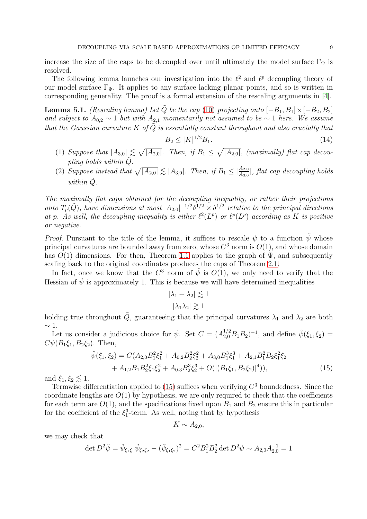increase the size of the caps to be decoupled over until ultimately the model surface  $\Gamma_{\Psi}$  is resolved.

The following lemma launches our investigation into the  $\ell^2$  and  $\ell^p$  decoupling theory of our model surface  $\Gamma_{\Psi}$ . It applies to any surface lacking planar points, and so is written in corresponding generality. The proof is a formal extension of the rescaling arguments in [\[4\]](#page-28-7).

<span id="page-8-2"></span>**Lemma 5.1.** (Rescaling lemma) Let  $\tilde{Q}$  be the cap [\(10\)](#page-4-0) projecting onto  $[-B_1, B_1] \times [-B_2, B_2]$ and subject to  $A_{0,2} \sim 1$  but with  $A_{2,1}$  momentarily not assumed to be  $\sim 1$  here. We assume that the Gaussian curvature  $K$  of  $Q$  is essentially constant throughout and also crucially that

<span id="page-8-1"></span>
$$
B_2 \le |K|^{1/2} B_1. \tag{14}
$$

- (1) Suppose that  $|A_{3,0}| \lesssim \sqrt{|A_{2,0}|}$ . Then, if  $B_1 \leq \sqrt{|A_{2,0}|}$ , (maximally) flat cap decoupling holds within  $\tilde{Q}$ .
- (2) Suppose instead that  $\sqrt{|A_{2,0}|} \lesssim |A_{3,0}|$ . Then, if  $B_1 \leq \frac{|A_{2,0}|}{|A_{3,0}|}$ , flat cap decoupling holds within  $\ddot{Q}$ .

The maximally flat caps obtained for the decoupling inequality, or rather their projections onto  $T_p(\tilde{Q})$ , have dimensions at most  $|A_{2,0}|^{-1/2}\delta^{1/2} \times \delta^{1/2}$  relative to the principal directions at p. As well, the decoupling inequality is either  $\ell^2(L^p)$  or  $\ell^p(L^p)$  according as K is positive or negative.

*Proof.* Pursuant to the title of the lemma, it suffices to rescale  $\psi$  to a function  $\tilde{\psi}$  whose principal curvatures are bounded away from zero, whose  $C^3$  norm is  $O(1)$ , and whose domain has  $O(1)$  dimensions. For then, Theorem [1.1](#page-0-1) applies to the graph of  $\Psi$ , and subsequently scaling back to the original coordinates produces the caps of Theorem [2.1.](#page-3-0)

In fact, once we know that the  $C^3$  norm of  $\tilde{\psi}$  is  $O(1)$ , we only need to verify that the Hessian of  $\tilde{\psi}$  is approximately 1. This is because we will have determined inequalities

$$
|\lambda_1 + \lambda_2| \lesssim 1
$$

$$
|\lambda_1 \lambda_2| \gtrsim 1
$$

holding true throughout  $\tilde{Q}$ , guaranteeing that the principal curvatures  $\lambda_1$  and  $\lambda_2$  are both  $∼ 1$ .

Let us consider a judicious choice for  $\tilde{\psi}$ . Set  $C = (A_{2,0}^{1/2}B_1B_2)^{-1}$ , and define  $\tilde{\psi}(\xi_1, \xi_2)$  $C\psi(B_1\xi_1, B_2\xi_2)$ . Then,

<span id="page-8-0"></span>
$$
\tilde{\psi}(\xi_1, \xi_2) = C(A_{2,0}B_1^2\xi_1^2 + A_{0,2}B_2^2\xi_2^2 + A_{3,0}B_1^3\xi_1^3 + A_{2,1}B_1^2B_2\xi_1^2\xi_2 \n+ A_{1,2}B_1B_2^2\xi_1\xi_2^2 + A_{0,3}B_2^3\xi_2^3 + O(|(B_1\xi_1, B_2\xi_2)|^4)),
$$
\n(15)

and  $\xi_1, \xi_2 \lesssim 1$ .

Termwise differentiation applied to  $(15)$  suffices when verifying  $C<sup>3</sup>$  boundedness. Since the coordinate lengths are  $O(1)$  by hypothesis, we are only required to check that the coefficients for each term are  $O(1)$ , and the specifications fixed upon  $B_1$  and  $B_2$  ensure this in particular for the coefficient of the  $\xi_1^3$ -term. As well, noting that by hypothesis

$$
K \sim A_{2,0},
$$

we may check that

$$
\det D^2 \tilde{\psi} = \tilde{\psi}_{\xi_1 \xi_1} \tilde{\psi}_{\xi_2 \xi_2} - (\tilde{\psi}_{\xi_1 \xi_2})^2 = C^2 B_1^2 B_2^2 \det D^2 \psi \sim A_{2,0} A_{2,0}^{-1} = 1
$$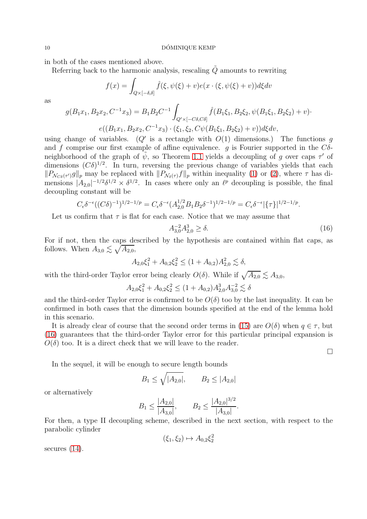in both of the cases mentioned above.

Referring back to the harmonic analysis, rescaling  $\tilde{Q}$  amounts to rewriting

$$
f(x) = \int_{Q \times [-\delta,\delta]} \hat{f}(\xi, \psi(\xi) + v) e(x \cdot (\xi, \psi(\xi) + v)) d\xi dv
$$

as

$$
g(B_1x_1, B_2x_2, C^{-1}x_3) = B_1B_2C^{-1} \int_{Q' \times [-C\delta, C\delta]} \hat{f}(B_1\xi_1, B_2\xi_2, \psi(B_1\xi_1, B_2\xi_2) + v) \cdot
$$

$$
e((B_1x_1, B_2x_2, C^{-1}x_3) \cdot (\xi_1, \xi_2, C\psi(B_1\xi_1, B_2\xi_2) + v))d\xi dv,
$$

using change of variables. ( $Q'$  is a rectangle with  $O(1)$  dimensions.) The functions g and f comprise our first example of affine equivalence. g is Fourier supported in the  $C\delta$ neighborhood of the graph of  $\tilde{\psi}$ , so Theorem [1.1](#page-0-1) yields a decoupling of g over caps  $\tau'$  of dimensions  $(C\delta)^{1/2}$ . In turn, reversing the previous change of variables yields that each  $||P_{\mathcal{N}_{C\delta}(\tau)}g||_p$  may be replaced with  $||P_{\mathcal{N}_{\delta}(\tau)}f||_p$  within inequality [\(1\)](#page-0-0) or [\(2\)](#page-1-0), where  $\tau$  has dimensions  $|A_{2,0}|^{-1/2}\delta^{1/2} \times \delta^{1/2}$ . In cases where only an  $\ell^p$  decoupling is possible, the final decoupling constant will be

$$
C_{\epsilon} \delta^{-\epsilon} ((C\delta)^{-1})^{1/2 - 1/p} = C_{\epsilon} \delta^{-\epsilon} (A_{2,0}^{1/2} B_1 B_2 \delta^{-1})^{1/2 - 1/p} = C_{\epsilon} \delta^{-\epsilon} |\{\tau\}|^{1/2 - 1/p}.
$$

Let us confirm that  $\tau$  is flat for each case. Notice that we may assume that

<span id="page-9-0"></span>
$$
A_{3,0}^{-2}A_{2,0}^{3} \ge \delta. \tag{16}
$$

 $\Box$ 

For if not, then the caps described by the hypothesis are contained within flat caps, as follows. When  $A_{3,0} \lesssim \sqrt{A_{2,0}}$ ,

$$
A_{2,0}\xi_1^2 + A_{0,2}\xi_2^2 \le (1 + A_{0,2})A_{2,0}^2 \lesssim \delta,
$$

with the third-order Taylor error being clearly  $O(\delta)$ . While if  $\sqrt{A_{2,0}} \lesssim A_{3,0}$ ,

$$
A_{2,0}\xi_1^2 + A_{0,2}\xi_2^2 \le (1 + A_{0,2})A_{2,0}^3 A_{3,0}^{-2} \lesssim \delta
$$

and the third-order Taylor error is confirmed to be  $O(\delta)$  too by the last inequality. It can be confirmed in both cases that the dimension bounds specified at the end of the lemma hold in this scenario.

It is already clear of course that the second order terms in [\(15\)](#page-8-0) are  $O(\delta)$  when  $q \in \tau$ , but [\(16\)](#page-9-0) guarantees that the third-order Taylor error for this particular principal expansion is  $O(\delta)$  too. It is a direct check that we will leave to the reader.

In the sequel, it will be enough to secure length bounds

$$
B_1 \le \sqrt{|A_{2,0}|}, \qquad B_2 \le |A_{2,0}|
$$

or alternatively

$$
B_1 \le \frac{|A_{2,0}|}{|A_{3,0}|},
$$
  $B_2 \le \frac{|A_{2,0}|^{3/2}}{|A_{3,0}|}.$ 

For then, a type II decoupling scheme, described in the next section, with respect to the parabolic cylinder

 $(\xi_1, \xi_2) \mapsto A_{0,2} \xi_2^2$ 

secures  $(14)$ .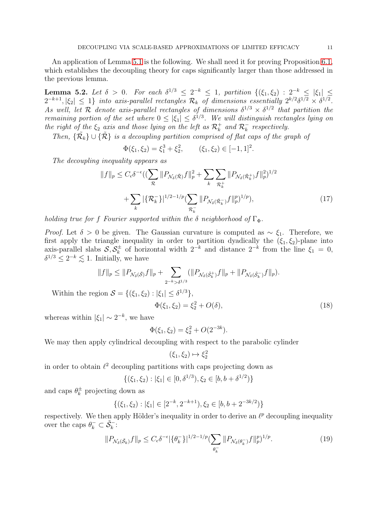An application of Lemma [5.1](#page-8-2) is the following. We shall need it for proving Proposition [6.1,](#page-12-0) which establishes the decoupling theory for caps significantly larger than those addressed in the previous lemma.

<span id="page-10-1"></span>**Lemma 5.2.** Let  $\delta > 0$ . For each  $\delta^{1/3} \leq 2^{-k} \leq 1$ , partition  $\{(\xi_1, \xi_2) : 2^{-k} \leq |\xi_1| \leq$  $2^{-k+1}, |\xi_2| \leq 1$  into axis-parallel rectangles  $\mathcal{R}_k$  of dimensions essentially  $2^{k/2} \delta^{1/2} \times \delta^{1/2}$ . As well, let R denote axis-parallel rectangles of dimensions  $\delta^{1/3} \times \delta^{1/2}$  that partition the remaining portion of the set where  $0 \leq |\xi_1| \leq \delta^{1/3}$ . We will distinguish rectangles lying on the right of the  $\xi_2$  axis and those lying on the left as  $\mathcal{R}^+_k$  and  $\mathcal{R}^-_k$  respectively.

Then,  $\{\tilde{\mathcal{R}}_k\}\cup\{\tilde{\mathcal{R}}\}$  is a decoupling partition comprised of flat caps of the graph of

$$
\Phi(\xi_1, \xi_2) = \xi_1^3 + \xi_2^2, \qquad (\xi_1, \xi_2) \in [-1, 1]^2.
$$

The decoupling inequality appears as

$$
||f||_{p} \leq C_{\epsilon} \delta^{-\epsilon} \left( \left( \sum_{\mathcal{R}} ||P_{\mathcal{N}_{\delta}(\tilde{\mathcal{R}})} f||_{p}^{2} + \sum_{k} \sum_{\mathcal{R}_{k}^{+}} ||P_{\mathcal{N}_{\delta}(\tilde{\mathcal{R}}_{k}^{+})} f||_{p}^{2} \right)^{1/2} + \sum_{k} |\{\mathcal{R}_{k}^{-}\}|^{1/2 - 1/p} \left( \sum_{\mathcal{R}_{k}^{-}} ||P_{\mathcal{N}_{\delta}(\tilde{\mathcal{R}}_{k}^{-})} f||_{p}^{p} \right)^{1/p} \right),
$$
\n(17)

holding true for f Fourier supported within the  $\delta$  neighborhood of  $\Gamma_{\Phi}$ .

*Proof.* Let  $\delta > 0$  be given. The Gaussian curvature is computed as  $\sim \xi_1$ . Therefore, we first apply the triangle inequality in order to partition dyadically the  $(\xi_1, \xi_2)$ -plane into axis-parallel slabs  $\mathcal{S}, \mathcal{S}_k^{\pm}$  $\frac{d}{k}$  of horizontal width  $2^{-k}$  and distance  $2^{-k}$  from the line  $\xi_1 = 0$ ,  $\delta^{1/3} \leq 2^{-k} \lesssim 1$ . Initially, we have

$$
||f||_p \leq ||P_{\mathcal{N}_{\delta}(\tilde{S})}f||_p + \sum_{2^{-k} > \delta^{1/3}} (||P_{\mathcal{N}_{\delta}(\tilde{S}_k^+)}f||_p + ||P_{\mathcal{N}_{\delta}(\tilde{S}_k^-)}f||_p).
$$

Within the region  $S = \{(\xi_1, \xi_2) : |\xi_1| \leq \delta^{1/3}\},\$ 

$$
\Phi(\xi_1, \xi_2) = \xi_2^2 + O(\delta),\tag{18}
$$

whereas within  $|\xi_1| \sim 2^{-k}$ , we have

$$
\Phi(\xi_1, \xi_2) = \xi_2^2 + O(2^{-3k}).
$$

We may then apply cylindrical decoupling with respect to the parabolic cylinder

$$
(\xi_1, \xi_2) \mapsto \xi_2^2
$$

in order to obtain  $\ell^2$  decoupling partitions with caps projecting down as

$$
\{(\xi_1, \xi_2) : |\xi_1| \in [0, \delta^{1/3}), \xi_2 \in [b, b + \delta^{1/2})\}
$$

and caps  $\theta_k^{\pm}$  $\frac{1}{k}$  projecting down as

$$
\{(\xi_1, \xi_2) : |\xi_1| \in [2^{-k}, 2^{-k+1}), \xi_2 \in [b, b + 2^{-3k/2})\}
$$

respectively. We then apply Hölder's inequality in order to derive an  $\ell^p$  decoupling inequality over the caps  $\theta_k^- \subset \tilde{\mathcal{S}}_k^-$ :

<span id="page-10-0"></span>
$$
||P_{\mathcal{N}_{\delta}(\tilde{\mathcal{S}}_k)}f||_p \le C_{\epsilon} \delta^{-\epsilon} |\{\theta_k^-\}|^{1/2 - 1/p} (\sum_{\theta_k^-} ||P_{\mathcal{N}_{\delta}(\theta_k^-)}f||_p^p)^{1/p}.
$$
 (19)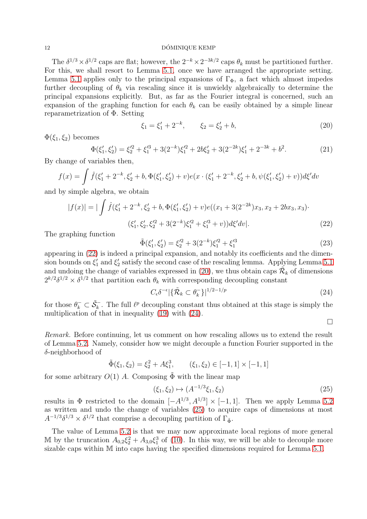#### 12 DÓMINIQUE KEMP

The  $\delta^{1/3} \times \delta^{1/2}$  caps are flat; however, the  $2^{-k} \times 2^{-3k/2}$  caps  $\theta_k$  must be partitioned further. For this, we shall resort to Lemma [5.1,](#page-8-2) once we have arranged the appropriate setting. Lemma [5.1](#page-8-2) applies only to the principal expansions of  $\Gamma_{\Phi}$ , a fact which almost impedes further decoupling of  $\theta_k$  via rescaling since it is unwieldy algebraically to determine the principal expansions explicitly. But, as far as the Fourier integral is concerned, such an expansion of the graphing function for each  $\theta_k$  can be easily obtained by a simple linear reparametrization of Φ. Setting

<span id="page-11-1"></span>
$$
\xi_1 = \xi_1' + 2^{-k}, \qquad \xi_2 = \xi_2' + b,\tag{20}
$$

 $\Phi(\xi_1,\xi_2)$  becomes

$$
\Phi(\xi_1', \xi_2') = \xi_2'^2 + \xi_1'^3 + 3(2^{-k})\xi_1'^2 + 2b\xi_2' + 3(2^{-2k})\xi_1' + 2^{-3k} + b^2.
$$
\n(21)

By change of variables then,

$$
f(x) = \int \hat{f}(\xi_1' + 2^{-k}, \xi_2' + b, \Phi(\xi_1', \xi_2') + v)e(x \cdot (\xi_1' + 2^{-k}, \xi_2' + b, \psi(\xi_1', \xi_2') + v))d\xi'dv
$$

and by simple algebra, we obtain

$$
|f(x)| = |\int \hat{f}(\xi_1' + 2^{-k}, \xi_2' + b, \Phi(\xi_1', \xi_2') + v)e((x_1 + 3(2^{-2k})x_3, x_2 + 2bx_3, x_3) \cdot \xi_1', \xi_2', \xi_2'^2 + 3(2^{-k})\xi_1'^2 + \xi_1'^3 + v))d\xi'dv|.
$$
\n(22)

The graphing function

<span id="page-11-0"></span>
$$
\tilde{\Phi}(\xi_1', \xi_2') = \xi_2'^2 + 3(2^{-k})\xi_1'^2 + \xi_1'^3 \tag{23}
$$

appearing in [\(22\)](#page-11-0) is indeed a principal expansion, and notably its coefficients and the dimension bounds on  $\xi_1'$  and  $\xi_2'$  satisfy the second case of the rescaling lemma. Applying Lemma [5.1](#page-8-2) and undoing the change of variables expressed in [\(20\)](#page-11-1), we thus obtain caps  $\tilde{\mathcal{R}}_k$  of dimensions  $2^{k/2}\delta^{1/2} \times \delta^{1/2}$  that partition each  $\theta_k$  with corresponding decoupling constant

<span id="page-11-2"></span>
$$
C_{\epsilon} \delta^{-\epsilon} |\{\tilde{\mathcal{R}}_k \subset \theta_k^- \}|^{1/2 - 1/p} \tag{24}
$$

for those  $\theta_k^- \subset \tilde{\mathcal{S}}_k^-$ . The full  $\ell^p$  decoupling constant thus obtained at this stage is simply the multiplication of that in inequality [\(19\)](#page-10-0) with [\(24\)](#page-11-2).

 $\Box$ 

Remark. Before continuing, let us comment on how rescaling allows us to extend the result of Lemma [5.2.](#page-10-1) Namely, consider how we might decouple a function Fourier supported in the δ-neighborhood of

$$
\tilde{\Phi}(\xi_1, \xi_2) = \xi_2^2 + A \xi_1^3, \qquad (\xi_1, \xi_2) \in [-1, 1] \times [-1, 1]
$$

for some arbitrary  $O(1)$  A. Composing  $\tilde{\Phi}$  with the linear map

<span id="page-11-3"></span>
$$
(\xi_1, \xi_2) \mapsto (A^{-1/3}\xi_1, \xi_2) \tag{25}
$$

results in  $\Phi$  restricted to the domain  $[-A^{1/3}, A^{1/3}] \times [-1, 1]$ . Then we apply Lemma [5.2](#page-10-1) as written and undo the change of variables [\(25\)](#page-11-3) to acquire caps of dimensions at most  $A^{-1/3}\delta^{1/3} \times \delta^{1/2}$  that comprise a decoupling partition of  $\Gamma_{\tilde{\Phi}}$ .

The value of Lemma [5.2](#page-10-1) is that we may now approximate local regions of more general M by the truncation  $A_{0,2}\xi_2^2 + A_{3,0}\xi_1^3$  of [\(10\)](#page-4-0). In this way, we will be able to decouple more sizable caps within M into caps having the specified dimensions required for Lemma [5.1.](#page-8-2)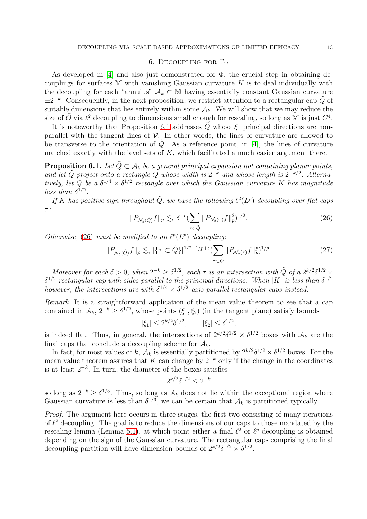### 6. DECOUPLING FOR  $\Gamma_{\Psi}$

<span id="page-12-1"></span>As developed in [\[4\]](#page-28-7) and also just demonstrated for  $\Phi$ , the crucial step in obtaining decouplings for surfaces  $M$  with vanishing Gaussian curvature  $K$  is to deal individually with the decoupling for each "annulus"  $A_k \subset M$  having essentially constant Gaussian curvature  $\pm 2^{-k}$ . Consequently, in the next proposition, we restrict attention to a rectangular cap  $\tilde{Q}$  of suitable dimensions that lies entirely within some  $A_k$ . We will show that we may reduce the size of  $\tilde{Q}$  via  $\ell^2$  decoupling to dimensions small enough for rescaling, so long as  $\tilde{M}$  is just  $C^4$ .

It is noteworthy that Proposition [6.1](#page-12-0) addresses  $\tilde{Q}$  whose  $\xi_1$  principal directions are nonparallel with the tangent lines of  $V$ . In other words, the lines of curvature are allowed to be transverse to the orientation of  $\tilde{Q}$ . As a reference point, in [\[4\]](#page-28-7), the lines of curvature matched exactly with the level sets of  $K$ , which facilitated a much easier argument there.

<span id="page-12-0"></span>**Proposition 6.1.** Let  $\tilde{Q} \subset A_k$  be a general principal expansion not containing planar points, and let  $\tilde{Q}$  project onto a rectangle Q whose width is  $2^{-k}$  and whose length is  $2^{-k/2}$ . Alternatively, let Q be a  $\delta^{1/4} \times \delta^{1/2}$  rectangle over which the Gaussian curvature K has magnitude less than  $\delta^{1/2}$ .

If K has positive sign throughout  $\tilde{Q}$ , we have the following  $\ell^2(L^p)$  decoupling over flat caps τ :

<span id="page-12-2"></span>
$$
||P_{\mathcal{N}_{\delta}(\tilde{Q})}f||_{p} \lesssim_{\epsilon} \delta^{-\epsilon} \left(\sum_{\tau \subset \tilde{Q}} ||P_{\mathcal{N}_{\delta}(\tau)}f||_{p}^{2}\right)^{1/2}.
$$
\n(26)

Otherwise, [\(26\)](#page-12-2) must be modified to an  $\ell^p(L^p)$  decoupling:

$$
||P_{\mathcal{N}_{\delta}(\tilde{Q})}f||_{p} \lesssim_{\epsilon} |\{\tau \subset \tilde{Q}\}|^{1/2 - 1/p + \epsilon} (\sum_{\tau \subset \tilde{Q}} ||P_{\mathcal{N}_{\delta}(\tau)}f||_{p}^{p})^{1/p}.
$$
 (27)

Moreover for each  $\delta > 0$ , when  $2^{-k} \geq \delta^{1/2}$ , each  $\tau$  is an intersection with  $\tilde{Q}$  of a  $2^{k/2} \delta^{1/2} \times$  $\delta^{1/2}$  rectangular cap with sides parallel to the principal directions. When |K| is less than  $\delta^{1/2}$ however, the intersections are with  $\delta^{1/4} \times \delta^{1/2}$  axis-parallel rectangular caps instead.

Remark. It is a straightforward application of the mean value theorem to see that a cap contained in  $\mathcal{A}_k$ ,  $2^{-k} \geq \delta^{1/2}$ , whose points  $(\xi_1, \xi_2)$  (in the tangent plane) satisfy bounds

$$
|\xi_1| \le 2^{k/2} \delta^{1/2}, \qquad |\xi_2| \le \delta^{1/2},
$$

is indeed flat. Thus, in general, the intersections of  $2^{k/2}\delta^{1/2} \times \delta^{1/2}$  boxes with  $\mathcal{A}_k$  are the final caps that conclude a decoupling scheme for  $A_k$ .

In fact, for most values of k,  $A_k$  is essentially partitioned by  $2^{k/2}\delta^{1/2} \times \delta^{1/2}$  boxes. For the mean value theorem assures that K can change by  $2^{-k}$  only if the change in the coordinates is at least  $2^{-k}$ . In turn, the diameter of the boxes satisfies

$$
2^{k/2} \delta^{1/2} \leq 2^{-k}
$$

so long as  $2^{-k} \geq \delta^{1/3}$ . Thus, so long as  $\mathcal{A}_k$  does not lie within the exceptional region where Gaussian curvature is less than  $\delta^{1/3}$ , we can be certain that  $\mathcal{A}_k$  is partitioned typically.

Proof. The argument here occurs in three stages, the first two consisting of many iterations of  $\ell^2$  decoupling. The goal is to reduce the dimensions of our caps to those mandated by the rescaling lemma (Lemma [5.1\)](#page-8-2), at which point either a final  $\ell^2$  or  $\ell^p$  decoupling is obtained depending on the sign of the Gaussian curvature. The rectangular caps comprising the final decoupling partition will have dimension bounds of  $2^{k/2}\delta^{1/2} \times \delta^{1/2}$ .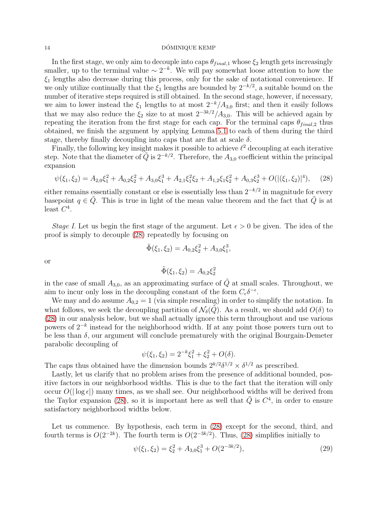#### 14 DÓMINIQUE KEMP

In the first stage, we only aim to decouple into caps  $\theta_{final,1}$  whose  $\xi_2$  length gets increasingly smaller, up to the terminal value  $\sim 2^{-k}$ . We will pay somewhat loose attention to how the  $\xi_1$  lengths also decrease during this process, only for the sake of notational convenience. If we only utilize continually that the  $\xi_1$  lengths are bounded by  $2^{-k/2}$ , a suitable bound on the number of iterative steps required is still obtained. In the second stage, however, if necessary, we aim to lower instead the  $\xi_1$  lengths to at most  $2^{-k}/A_{3,0}$  first; and then it easily follows that we may also reduce the  $\xi_2$  size to at most  $2^{-3k/2}/A_{3,0}$ . This will be achieved again by repeating the iteration from the first stage for each cap. For the terminal caps  $\theta_{final,2}$  thus obtained, we finish the argument by applying Lemma [5.1](#page-8-2) to each of them during the third stage, thereby finally decoupling into caps that are flat at scale  $\delta$ .

Finally, the following key insight makes it possible to achieve  $\ell^2$  decoupling at each iterative step. Note that the diameter of  $\tilde{Q}$  is  $2^{-k/2}$ . Therefore, the  $A_{3,0}$  coefficient within the principal expansion

<span id="page-13-0"></span>
$$
\psi(\xi_1, \xi_2) = A_{2,0}\xi_1^2 + A_{0,2}\xi_2^2 + A_{3,0}\xi_1^3 + A_{2,1}\xi_1^2\xi_2 + A_{1,2}\xi_1\xi_2^2 + A_{0,3}\xi_2^3 + O(|(\xi_1, \xi_2)|^4),\tag{28}
$$

either remains essentially constant or else is essentially less than  $2^{-k/2}$  in magnitude for every basepoint  $q \in \tilde{Q}$ . This is true in light of the mean value theorem and the fact that  $\tilde{Q}$  is at least  $C^4$ .

*Stage I.* Let us begin the first stage of the argument. Let  $\epsilon > 0$  be given. The idea of the proof is simply to decouple [\(28\)](#page-13-0) repeatedly by focusing on

$$
\tilde{\Phi}(\xi_1, \xi_2) = A_{0,2}\xi_2^2 + A_{3,0}\xi_1^3,
$$

or

$$
\tilde{\Phi}(\xi_1, \xi_2) = A_{0,2} \xi_2^2
$$

in the case of small  $A_{3,0}$ , as an approximating surface of  $\tilde{Q}$  at small scales. Throughout, we aim to incur only loss in the decoupling constant of the form  $C_{\epsilon} \delta^{-\epsilon}$ .

We may and do assume  $A_{0,2} = 1$  (via simple rescaling) in order to simplify the notation. In what follows, we seek the decoupling partition of  $\mathcal{N}_{\delta}(\tilde{Q})$ . As a result, we should add  $O(\delta)$  to [\(28\)](#page-13-0) in our analysis below, but we shall actually ignore this term throughout and use various powers of 2<sup>−k</sup> instead for the neighborhood width. If at any point those powers turn out to be less than  $\delta$ , our argument will conclude prematurely with the original Bourgain-Demeter parabolic decoupling of

$$
\psi(\xi_1, \xi_2) = 2^{-k}\xi_1^2 + \xi_2^2 + O(\delta).
$$

The caps thus obtained have the dimension bounds  $2^{k/2}\delta^{1/2} \times \delta^{1/2}$  as prescribed.

Lastly, let us clarify that no problem arises from the presence of additional bounded, positive factors in our neighborhood widths. This is due to the fact that the iteration will only occur  $O(|\log \epsilon|)$  many times, as we shall see. Our neighborhood widths will be derived from the Taylor expansion [\(28\)](#page-13-0), so it is important here as well that  $\tilde{Q}$  is  $C<sup>4</sup>$ , in order to ensure satisfactory neighborhood widths below.

Let us commence. By hypothesis, each term in  $(28)$  except for the second, third, and fourth terms is  $O(2^{-2k})$ . The fourth term is  $O(2^{-3k/2})$ . Thus, [\(28\)](#page-13-0) simplifies initially to

<span id="page-13-1"></span>
$$
\psi(\xi_1, \xi_2) = \xi_2^2 + A_{3,0}\xi_1^3 + O(2^{-3k/2}),\tag{29}
$$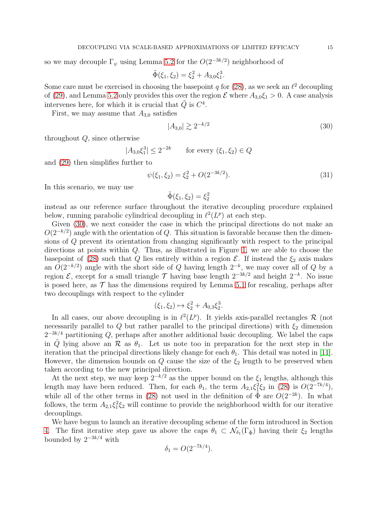so we may decouple  $\Gamma_{\psi}$  using Lemma [5.2](#page-10-1) for the  $O(2^{-3k/2})$  neighborhood of

$$
\tilde{\Phi}(\xi_1, \xi_2) = \xi_2^2 + A_{3,0}\xi_1^3.
$$

Some care must be exercised in choosing the basepoint q for  $(28)$ , as we seek an  $\ell^2$  decoupling of [\(29\)](#page-13-1), and Lemma [5.2](#page-10-1) only provides this over the region  $\mathcal E$  where  $A_{3,0}\xi_1 > 0$ . A case analysis intervenes here, for which it is crucial that  $\tilde{Q}$  is  $C^4$ .

First, we may assume that  $A_{3,0}$  satisfies

<span id="page-14-0"></span>
$$
|A_{3,0}| \gtrsim 2^{-k/2} \tag{30}
$$

throughout Q, since otherwise

$$
|A_{3,0}\xi_1^3| \le 2^{-2k} \qquad \text{for every } (\xi_1, \xi_2) \in Q
$$

and [\(29\)](#page-13-1) then simplifies further to

$$
\psi(\xi_1, \xi_2) = \xi_2^2 + O(2^{-3k/2}).\tag{31}
$$

In this scenario, we may use

$$
\tilde{\Phi}(\xi_1,\xi_2)=\xi_2^2
$$

instead as our reference surface throughout the iterative decoupling procedure explained below, running parabolic cylindrical decoupling in  $\ell^2(L^p)$  at each step.

Given [\(30\)](#page-14-0), we next consider the case in which the principal directions do not make an  $O(2^{-k/2})$  angle with the orientation of Q. This situation is favorable because then the dimensions of Q prevent its orientation from changing significantly with respect to the principal directions at points within Q. Thus, as illustrated in Figure [1,](#page-15-0) we are able to choose the basepoint of [\(28\)](#page-13-0) such that Q lies entirely within a region  $\mathcal{E}$ . If instead the  $\xi_2$  axis makes an  $O(2^{-k/2})$  angle with the short side of Q having length  $2^{-k}$ , we may cover all of Q by a region  $\mathcal{E}$ , except for a small triangle  $\mathcal{T}$  having base length  $2^{-3k/2}$  and height  $2^{-k}$ . No issue is posed here, as  $\mathcal T$  has the dimensions required by Lemma [5.1](#page-8-2) for rescaling, perhaps after two decouplings with respect to the cylinder

$$
(\xi_1, \xi_2) \mapsto \xi_2^2 + A_{0,3} \xi_2^3.
$$

In all cases, our above decoupling is in  $\ell^2(L^p)$ . It yields axis-parallel rectangles R (not necessarily parallel to Q but rather parallel to the principal directions) with  $\xi_2$  dimension  $2^{-3k/4}$  partitioning Q, perhaps after another additional basic decoupling. We label the caps in  $\tilde{Q}$  lying above an  $\mathcal R$  as  $\theta_1$ . Let us note too in preparation for the next step in the iteration that the principal directions likely change for each  $\theta_1$ . This detail was noted in [\[11\]](#page-28-8). However, the dimension bounds on  $Q$  cause the size of the  $\xi_2$  length to be preserved when taken according to the new principal direction.

At the next step, we may keep  $2^{-k/2}$  as the upper bound on the  $\xi_1$  lengths, although this length may have been reduced. Then, for each  $\theta_1$ , the term  $A_{2,1}\xi_1^2\xi_2$  in [\(28\)](#page-13-0) is  $O(2^{-7k/4})$ , while all of the other terms in [\(28\)](#page-13-0) not used in the definition of  $\tilde{\Phi}$  are  $O(2^{-2k})$ . In what follows, the term  $A_{2,1}\xi_1^2\xi_2$  will continue to provide the neighborhood width for our iterative decouplings.

We have begun to launch an iterative decoupling scheme of the form introduced in Section [4.](#page-6-1) The first iterative step gave us above the caps  $\theta_1 \subset \mathcal{N}_{\delta_1}(\Gamma_{\tilde{\Phi}})$  having their  $\xi_2$  lengths bounded by  $2^{-3k/4}$  with

$$
\delta_1 = O(2^{-7k/4}).
$$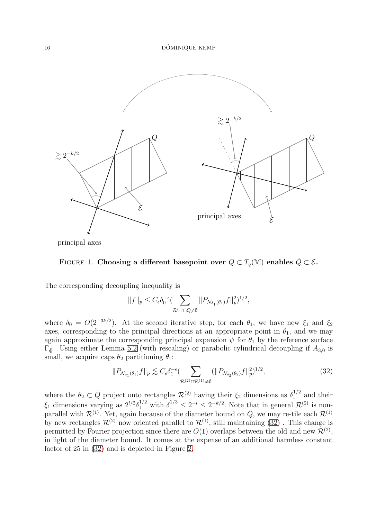

principal axes



The corresponding decoupling inequality is

<span id="page-15-0"></span>
$$
||f||_p \leq C_{\epsilon} \delta_0^{-\epsilon} \left( \sum_{\mathcal{R}^{(1)} \cap Q \neq \emptyset} ||P_{\mathcal{N}_{\delta_1}(\theta_1)} f||_p^2 \right)^{1/2},
$$

where  $\delta_0 = O(2^{-3k/2})$ . At the second iterative step, for each  $\theta_1$ , we have new  $\xi_1$  and  $\xi_2$ axes, corresponding to the principal directions at an appropriate point in  $\theta_1$ , and we may again approximate the corresponding principal expansion  $\psi$  for  $\theta_1$  by the reference surface  $\Gamma_{\tilde{\Phi}}$ . Using either Lemma [5.2](#page-10-1) (with rescaling) or parabolic cylindrical decoupling if  $A_{3,0}$  is small, we acquire caps  $\theta_2$  partitioning  $\theta_1$ :

<span id="page-15-1"></span>
$$
||P_{\mathcal{N}_{\delta_1}(\theta_1)}f||_p \lesssim C_{\epsilon} \delta_1^{-\epsilon} \left( \sum_{\mathcal{R}^{(2)} \cap \mathcal{R}^{(1)} \neq \emptyset} (||P_{\mathcal{N}_{\delta_2}(\theta_2)}f||_p^2)^{1/2},\right)
$$
(32)

where the  $\theta_2 \subset \tilde{Q}$  project onto rectangles  $\mathcal{R}^{(2)}$  having their  $\xi_2$  dimensions as  $\delta_1^{1/2}$  $1/2$  and their  $\xi_1$  dimensions varying as  $2^{l/2}\delta_1^{1/2}$  with  $\delta_1^{1/3} \leq 2^{-l} \leq 2^{-k/2}$ . Note that in general  $\mathcal{R}^{(2)}$  is nonparallel with  $\mathcal{R}^{(1)}$ . Yet, again because of the diameter bound on  $\tilde{Q}$ , we may re-tile each  $\mathcal{R}^{(1)}$ by new rectangles  $\mathcal{R}^{(2)}$  now oriented parallel to  $\mathcal{R}^{(1)}$ , still maintaining  $(32)$ . This change is permitted by Fourier projection since there are  $O(1)$  overlaps between the old and new  $\mathcal{R}^{(2)}$ , in light of the diameter bound. It comes at the expense of an additional harmless constant factor of 25 in [\(32\)](#page-15-1) and is depicted in Figure [2.](#page-16-0)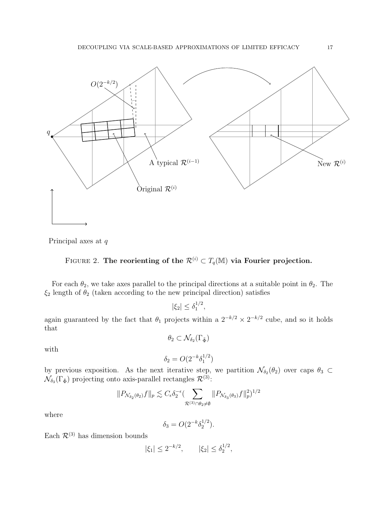

Principal axes at q

<span id="page-16-0"></span>FIGURE 2. The reorienting of the 
$$
\mathcal{R}^{(i)} \subset T_q(\mathbb{M})
$$
 via Fourier projection.

For each  $\theta_2$ , we take axes parallel to the principal directions at a suitable point in  $\theta_2$ . The  $\xi_2$  length of  $\theta_2$  (taken according to the new principal direction) satisfies

> $|\xi_2| \leq \delta_1^{1/2}$  $\frac{1}{2}$ ,

again guaranteed by the fact that  $\theta_1$  projects within a  $2^{-k/2} \times 2^{-k/2}$  cube, and so it holds that

$$
\theta_2 \subset \mathcal{N}_{\delta_2}(\Gamma_{\tilde{\Phi}})
$$

with

$$
\delta_2 = O(2^{-k} \delta_1^{1/2})
$$

by previous exposition. As the next iterative step, we partition  $\mathcal{N}_{\delta_2}(\theta_2)$  over caps  $\theta_3 \subset$  $\mathcal{N}_{\delta_3}(\Gamma_{\tilde{\Phi}})$  projecting onto axis-parallel rectangles  $\mathcal{R}^{(3)}$ :

$$
||P_{\mathcal{N}_{\delta_2}(\theta_2)}f||_p \lesssim C_{\epsilon} \delta_2^{-\epsilon} \left( \sum_{\mathcal{R}^{(3)} \cap \theta_2 \neq \emptyset} ||P_{\mathcal{N}_{\delta_3}(\theta_3)}f||_p^2 \right)^{1/2}
$$

where

$$
\delta_3 = O(2^{-k} \delta_2^{1/2}).
$$

Each  $\mathcal{R}^{(3)}$  has dimension bounds

$$
|\xi_1| \le 2^{-k/2}, \qquad |\xi_2| \le \delta_2^{1/2},
$$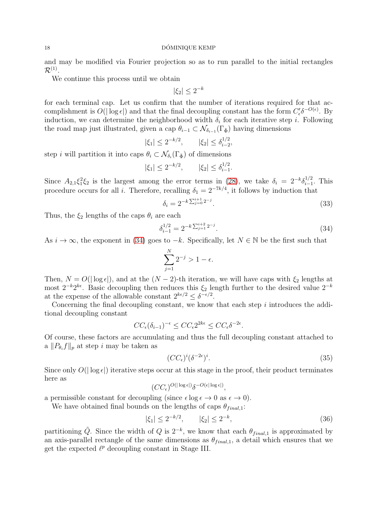#### 18 DÓMINIQUE KEMP

and may be modified via Fourier projection so as to run parallel to the initial rectangles  $\mathcal{R}^{(1)}.$ 

We continue this process until we obtain

$$
|\xi_2| \le 2^{-k}
$$

for each terminal cap. Let us confirm that the number of iterations required for that accomplishment is  $O(|\log \epsilon|)$  and that the final decoupling constant has the form  $C'_{\epsilon} \delta^{-O(\epsilon)}$ . By induction, we can determine the neighborhood width  $\delta_i$  for each iterative step *i*. Following the road map just illustrated, given a cap  $\theta_{i-1} \subset \mathcal{N}_{\delta_{i-1}}(\Gamma_{\tilde{\Phi}})$  having dimensions

> $|\xi_1| \leq 2^{-k/2}, \qquad |\xi_2| \leq \delta_{i-2}^{1/2}$  $\frac{1}{i-2}$

step *i* will partition it into caps  $\theta_i \subset \mathcal{N}_{\delta_i}(\Gamma_{\tilde{\Phi}})$  of dimensions

$$
|\xi_1| \le 2^{-k/2}, \qquad |\xi_2| \le \delta_{i-1}^{1/2}.
$$

Since  $A_{2,1}\xi_1^2\xi_2$  is the largest among the error terms in [\(28\)](#page-13-0), we take  $\delta_i = 2^{-k}\delta_{i-1}^{1/2}$  $\prod_{i=1}^{1/2}$ . This procedure occurs for all *i*. Therefore, recalling  $\delta_1 = 2^{-7k/4}$ , it follows by induction that

$$
\delta_i = 2^{-k \sum_{j=0}^{i+1} 2^{-j}}.
$$
\n(33)

Thus, the  $\xi_2$  lengths of the caps  $\theta_i$  are each

<span id="page-17-0"></span>
$$
\delta_{i-1}^{1/2} = 2^{-k \sum_{j=1}^{i+2} 2^{-j}}.
$$
\n(34)

As  $i \to \infty$ , the exponent in [\(34\)](#page-17-0) goes to  $-k$ . Specifically, let  $N \in \mathbb{N}$  be the first such that

$$
\sum_{j=1}^{N} 2^{-j} > 1 - \epsilon.
$$

Then,  $N = O(|\log \epsilon|)$ , and at the  $(N-2)$ -th iteration, we will have caps with  $\xi_2$  lengths at most  $2^{-k}2^{k\epsilon}$ . Basic decoupling then reduces this  $\xi_2$  length further to the desired value  $2^{-k}$ at the expense of the allowable constant  $2^{k\epsilon/2} \leq \delta^{-\epsilon/2}$ .

Concerning the final decoupling constant, we know that each step  $i$  introduces the additional decoupling constant

$$
CC_{\epsilon}(\delta_{i-1})^{-\epsilon} \le CC_{\epsilon}2^{2k\epsilon} \le CC_{\epsilon}\delta^{-2\epsilon}.
$$

Of course, these factors are accumulating and thus the full decoupling constant attached to a  $||P_{\theta_i}f||_p$  at step i may be taken as

$$
(CC_{\epsilon})^i (\delta^{-2\epsilon})^i. \tag{35}
$$

Since only  $O(|\log \epsilon|)$  iterative steps occur at this stage in the proof, their product terminates here as

$$
(CC_\epsilon)^{O(|\log \epsilon|)} \delta^{-O(\epsilon |\log \epsilon|)},
$$

a permissible constant for decoupling (since  $\epsilon \log \epsilon \to 0$  as  $\epsilon \to 0$ ).

We have obtained final bounds on the lengths of caps  $\theta_{final,1}$ :

<span id="page-17-1"></span>
$$
|\xi_1| \le 2^{-k/2}, \qquad |\xi_2| \le 2^{-k}, \tag{36}
$$

partitioning  $\tilde{Q}$ . Since the width of  $Q$  is  $2^{-k}$ , we know that each  $\theta_{final,1}$  is approximated by an axis-parallel rectangle of the same dimensions as  $\theta_{final,1}$ , a detail which ensures that we get the expected  $\ell^p$  decoupling constant in Stage III.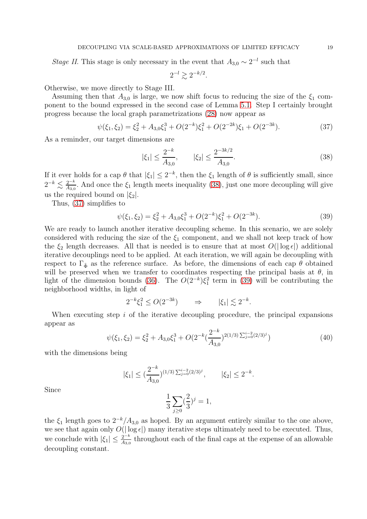*Stage II*. This stage is only necessary in the event that  $A_{3,0} \sim 2^{-l}$  such that

$$
2^{-l} \gtrsim 2^{-k/2}.
$$

Otherwise, we move directly to Stage III.

Assuming then that  $A_{3,0}$  is large, we now shift focus to reducing the size of the  $\xi_1$  component to the bound expressed in the second case of Lemma [5.1.](#page-8-2) Step I certainly brought progress because the local graph parametrizations [\(28\)](#page-13-0) now appear as

<span id="page-18-1"></span>
$$
\psi(\xi_1, \xi_2) = \xi_2^2 + A_{3,0}\xi_1^3 + O(2^{-k})\xi_1^2 + O(2^{-2k})\xi_1 + O(2^{-3k}).\tag{37}
$$

As a reminder, our target dimensions are

<span id="page-18-0"></span>
$$
|\xi_1| \le \frac{2^{-k}}{A_{3,0}}, \qquad |\xi_2| \le \frac{2^{-3k/2}}{A_{3,0}}.\tag{38}
$$

If it ever holds for a cap  $\theta$  that  $|\xi_1| \leq 2^{-k}$ , then the  $\xi_1$  length of  $\theta$  is sufficiently small, since  $2^{-k} \lesssim \frac{2^{-k}}{4\pi\epsilon}$  $\frac{2^{-\kappa}}{A_{3,0}}$ . And once the  $\xi_1$  length meets inequality [\(38\)](#page-18-0), just one more decoupling will give us the required bound on  $|\xi_2|$ .

Thus, [\(37\)](#page-18-1) simplifies to

<span id="page-18-2"></span>
$$
\psi(\xi_1, \xi_2) = \xi_2^2 + A_{3,0}\xi_1^3 + O(2^{-k})\xi_1^2 + O(2^{-3k}).\tag{39}
$$

We are ready to launch another iterative decoupling scheme. In this scenario, we are solely considered with reducing the size of the  $\xi_1$  component, and we shall not keep track of how the  $\xi_2$  length decreases. All that is needed is to ensure that at most  $O(|\log \epsilon|)$  additional iterative decouplings need to be applied. At each iteration, we will again be decoupling with respect to  $\Gamma_{\tilde{\Phi}}$  as the reference surface. As before, the dimensions of each cap  $\theta$  obtained will be preserved when we transfer to coordinates respecting the principal basis at  $\theta$ , in light of the dimension bounds [\(36\)](#page-17-1). The  $O(2^{-k})\xi_1^2$  term in [\(39\)](#page-18-2) will be contributing the neighborhood widths, in light of

$$
2^{-k}\xi_1^2 \le O(2^{-3k}) \qquad \Rightarrow \qquad |\xi_1| \lesssim 2^{-k}.
$$

When executing step  $i$  of the iterative decoupling procedure, the principal expansions appear as

$$
\psi(\xi_1, \xi_2) = \xi_2^2 + A_{3,0}\xi_1^3 + O(2^{-k}(\frac{2^{-k}}{A_{3,0}})^{2(1/3)}\Sigma_{j=0}^{i-2}(2/3)^j)
$$
\n(40)

with the dimensions being

$$
|\xi_1| \le (\frac{2^{-k}}{A_{3,0}})^{(1/3) \sum_{j=0}^{i-2} (2/3)^j}, \qquad |\xi_2| \le 2^{-k}.
$$

Since

$$
\frac{1}{3} \sum_{j \ge 0} \left(\frac{2}{3}\right)^j = 1,
$$

the  $\xi_1$  length goes to  $2^{-k}/A_{3,0}$  as hoped. By an argument entirely similar to the one above, we see that again only  $O(|\log \epsilon|)$  many iterative steps ultimately need to be executed. Thus, we conclude with  $|\xi_1| \leq \frac{2^{-k}}{A_3}$  $\frac{2^{-\kappa}}{A_{3,0}}$  throughout each of the final caps at the expense of an allowable decoupling constant.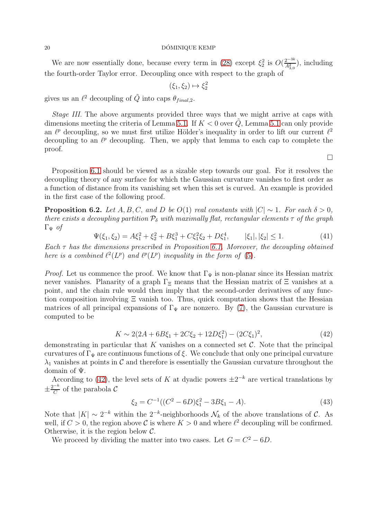#### $20$  DÓMINIQUE KEMP

We are now essentially done, because every term in [\(28\)](#page-13-0) except  $\xi_2^2$  is  $O(\frac{2^{-3k}}{A_{2.0}^2})$  $\frac{2^{-3\kappa}}{A_{3,0}^2}$ , including the fourth-order Taylor error. Decoupling once with respect to the graph of

$$
(\xi_1, \xi_2) \mapsto \xi_2^2
$$

gives us an  $\ell^2$  decoupling of  $\tilde{Q}$  into caps  $\theta_{final,2}$ .

Stage III. The above arguments provided three ways that we might arrive at caps with dimensions meeting the criteria of Lemma [5.1.](#page-8-2) If  $K < 0$  over Q, Lemma [5.1](#page-8-2) can only provide an  $\ell^p$  decoupling, so we must first utilize Hölder's inequality in order to lift our current  $\ell^2$ decoupling to an  $\ell^p$  decoupling. Then, we apply that lemma to each cap to complete the proof.

Proposition [6.1](#page-12-0) should be viewed as a sizable step towards our goal. For it resolves the decoupling theory of any surface for which the Gaussian curvature vanishes to first order as a function of distance from its vanishing set when this set is curved. An example is provided in the first case of the following proof.

<span id="page-19-0"></span>**Proposition 6.2.** Let A, B, C, and D be  $O(1)$  real constants with  $|C| \sim 1$ . For each  $\delta > 0$ , there exists a decoupling partition  $P_{\delta}$  with maximally flat, rectangular elements  $\tau$  of the graph  $\Gamma_{\Psi}$  of

$$
\Psi(\xi_1, \xi_2) = A\xi_1^2 + \xi_2^2 + B\xi_1^3 + C\xi_1^2\xi_2 + D\xi_1^4, \qquad |\xi_1|, |\xi_2| \le 1. \tag{41}
$$

Each  $\tau$  has the dimensions prescribed in Proposition [6.1.](#page-12-0) Moreover, the decoupling obtained here is a combined  $\ell^2(L^p)$  and  $\ell^p(L^p)$  inequality in the form of [\(5\)](#page-3-2).

*Proof.* Let us commence the proof. We know that  $\Gamma_{\Psi}$  is non-planar since its Hessian matrix never vanishes. Planarity of a graph  $\Gamma_{\Xi}$  means that the Hessian matrix of  $\Xi$  vanishes at a point, and the chain rule would then imply that the second-order derivatives of any function composition involving  $\Xi$  vanish too. Thus, quick computation shows that the Hessian matrices of all principal expansions of  $\Gamma_{\Psi}$  are nonzero. By [\(7\)](#page-4-1), the Gaussian curvature is computed to be

<span id="page-19-1"></span>
$$
K \sim 2(2A + 6B\xi_1 + 2C\xi_2 + 12D\xi_1^2) - (2C\xi_1)^2,
$$
\n(42)

demonstrating in particular that K vanishes on a connected set  $\mathcal{C}$ . Note that the principal curvatures of  $\Gamma_{\Psi}$  are continuous functions of ξ. We conclude that only one principal curvature  $\lambda_1$  vanishes at points in C and therefore is essentially the Gaussian curvature throughout the domain of Ψ.

According to [\(42\)](#page-19-1), the level sets of K at dyadic powers  $\pm 2^{-k}$  are vertical translations by  $\pm \frac{2^{-k}}{C}$  $\frac{1}{C}$  of the parabola  $\mathcal{C}$ 

<span id="page-19-2"></span>
$$
\xi_2 = C^{-1}((C^2 - 6D)\xi_1^2 - 3B\xi_1 - A). \tag{43}
$$

Note that  $|K| \sim 2^{-k}$  within the  $2^{-k}$ -neighborhoods  $\mathcal{N}_k$  of the above translations of  $\mathcal{C}$ . As well, if  $C > 0$ , the region above  $\mathcal C$  is where  $K > 0$  and where  $\ell^2$  decoupling will be confirmed. Otherwise, it is the region below  $\mathcal{C}$ .

We proceed by dividing the matter into two cases. Let  $G = C^2 - 6D$ .

 $\Box$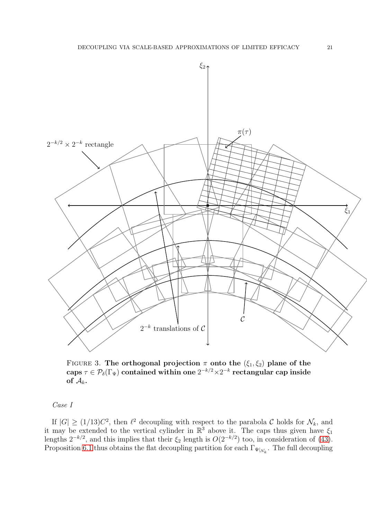

FIGURE 3. The orthogonal projection  $\pi$  onto the  $(\xi_1, \xi_2)$  plane of the  $\text{caps}\ \tau \in \mathcal{P}_\delta(\Gamma_\Psi) \text{ contained within one } 2^{-k/2} \times 2^{-k} \text{ rectangular cap inside}$ of  $\mathcal{A}_k$ .

# Case I

If  $|G| \ge (1/13)C^2$ , then  $\ell^2$  decoupling with respect to the parabola C holds for  $\mathcal{N}_k$ , and it may be extended to the vertical cylinder in  $\mathbb{R}^3$  above it. The caps thus given have  $\xi_1$ lengths  $2^{-k/2}$ , and this implies that their  $\xi_2$  length is  $O(2^{-k/2})$  too, in consideration of [\(43\)](#page-19-2). Proposition [6.1](#page-12-0) thus obtains the flat decoupling partition for each  $\Gamma_{\Psi|_{\mathcal{N}_k}}$ . The full decoupling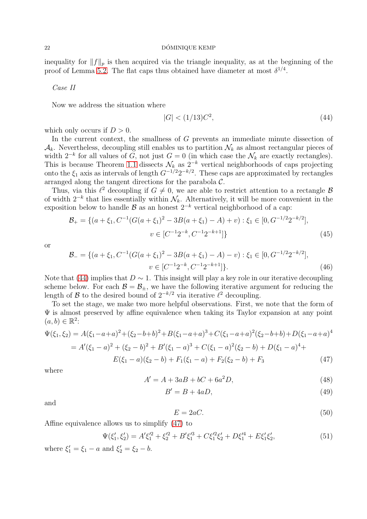inequality for  $||f||_p$  is then acquired via the triangle inequality, as at the beginning of the proof of Lemma [5.2.](#page-10-1) The flat caps thus obtained have diameter at most  $\delta^{1/4}$ .

Case II

Now we address the situation where

<span id="page-21-0"></span>
$$
|G| < (1/13)C^2,\tag{44}
$$

which only occurs if  $D > 0$ .

In the current context, the smallness of G prevents an immediate minute dissection of  $\mathcal{A}_k$ . Nevertheless, decoupling still enables us to partition  $\mathcal{N}_k$  as almost rectangular pieces of width  $2^{-k}$  for all values of G, not just  $G = 0$  (in which case the  $\mathcal{N}_k$  are exactly rectangles). This is because Theorem [1.1](#page-0-1) dissects  $\mathcal{N}_k$  as  $2^{-k}$  vertical neighborhoods of caps projecting onto the  $\xi_1$  axis as intervals of length  $G^{-1/2}2^{-k/2}$ . These caps are approximated by rectangles arranged along the tangent directions for the parabola C.

Thus, via this  $\ell^2$  decoupling if  $G \neq 0$ , we are able to restrict attention to a rectangle  $\mathcal{B}$ of width  $2^{-k}$  that lies essentially within  $\mathcal{N}_k$ . Alternatively, it will be more convenient in the exposition below to handle  $\beta$  as an honest  $2^{-k}$  vertical neighborhood of a cap:

$$
\mathcal{B}_{+} = \{ (a + \xi_{1}, C^{-1}(G(a + \xi_{1})^{2} - 3B(a + \xi_{1}) - A) + v) : \xi_{1} \in [0, G^{-1/2}2^{-k/2}],
$$
  

$$
v \in [C^{-1}2^{-k}, C^{-1}2^{-k+1}] \}
$$
(45)

or

$$
\mathcal{B}_{-} = \{ (a + \xi_1, C^{-1}(G(a + \xi_1)^2 - 3B(a + \xi_1) - A) - v) : \xi_1 \in [0, G^{-1/2}2^{-k/2}], \n v \in [C^{-1}2^{-k}, C^{-1}2^{-k+1}]\}.
$$
\n(46)

Note that [\(44\)](#page-21-0) implies that  $D \sim 1$ . This insight will play a key role in our iterative decoupling scheme below. For each  $\mathcal{B} = \mathcal{B}_{\pm}$ , we have the following iterative argument for reducing the length of  $\beta$  to the desired bound of  $2^{-k/2}$  via iterative  $\ell^2$  decoupling.

To set the stage, we make two more helpful observations. First, we note that the form of  $\Psi$  is almost preserved by affine equivalence when taking its Taylor expansion at any point  $(a, b) \in \mathbb{R}^2$ :

$$
\Psi(\xi_1, \xi_2) = A(\xi_1 - a + a)^2 + (\xi_2 - b + b)^2 + B(\xi_1 - a + a)^3 + C(\xi_1 - a + a)^2(\xi_2 - b + b) + D(\xi_1 - a + a)^4
$$
  
=  $A'(\xi_1 - a)^2 + (\xi_2 - b)^2 + B'(\xi_1 - a)^3 + C(\xi_1 - a)^2(\xi_2 - b) + D(\xi_1 - a)^4 +$   

$$
E(\xi_1 - a)(\xi_2 - b) + F_1(\xi_1 - a) + F_2(\xi_2 - b) + F_3
$$
(47)

where

<span id="page-21-1"></span>
$$
A' = A + 3aB + bC + 6a^2D,
$$
\n(48)

$$
B'=B+4aD,\t\t(49)
$$

and

$$
E = 2aC.\t\t(50)
$$

Affine equivalence allows us to simplify [\(47\)](#page-21-1) to

<span id="page-21-2"></span>
$$
\Psi(\xi_1', \xi_2') = A'\xi_1'^2 + \xi_2'^2 + B'\xi_1'^3 + C\xi_1'^2\xi_2' + D\xi_1'^4 + E\xi_1'\xi_2',
$$
\n(51)

where  $\xi'_1 = \xi_1 - a$  and  $\xi'_2 = \xi_2 - b$ .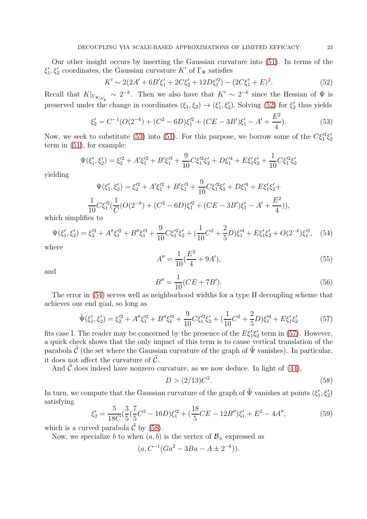Our other insight occurs by inserting the Gaussian curvature into [\(51\)](#page-21-2). In terms of the  $\xi_1', \xi_2'$  coordinates, the Gaussian curvature K' of  $\Gamma_{\Psi}$  satisfies

<span id="page-22-0"></span>
$$
K' \sim 2(2A' + 6B'\xi_1' + 2C\xi_2' + 12D\xi_1'^2) - (2C\xi_1' + E)^2.
$$
 (52)

Recall that  $K|_{\Gamma_{\Psi}|_{\mathcal{N}_k}} \sim 2^{-k}$ . Then we also have that  $K' \sim 2^{-k}$  since the Hessian of  $\Psi$  is preserved under the change in coordinates  $(\xi_1, \xi_2) \to (\xi'_1, \xi'_2)$ . Solving [\(52\)](#page-22-0) for  $\xi'_2$  thus yields

<span id="page-22-1"></span>
$$
\xi_2' = C^{-1}(O(2^{-k}) + (C^2 - 6D)\xi_1'^2 + (CE - 3B')\xi_1' - A' + \frac{E^2}{4}).
$$
\n(53)

Now, we seek to substitute [\(53\)](#page-22-1) into [\(51\)](#page-21-2). For this purpose, we borrow some of the  $C\xi_1^2\xi_2^{\prime}$ term in [\(51\)](#page-21-2), for example:

$$
\Psi(\xi'_1, \xi'_2) = \xi_2'^2 + A'\xi_1'^2 + B'\xi_1'^3 + \frac{9}{10}C\xi_1'^2\xi'_2 + D\xi_1'^4 + E\xi_1'\xi'_2 + \frac{1}{10}C\xi_1'^2\xi'_2
$$

yielding

$$
\Psi(\xi'_1, \xi'_2) = \xi_2'^2 + A'\xi_1'^2 + B'\xi_1'^3 + \frac{9}{10}C\xi_1'^2\xi'_2 + D\xi_1'^4 + E\xi_1'\xi'_2 + \frac{1}{10}C\xi_1'^2(\frac{1}{C}(O(2^{-k}) + (C^2 - 6D)\xi_1'^2 + (CE - 3B')\xi'_1 - A' + \frac{E^2}{4})),
$$

which simplifies to

۔<br>1

<span id="page-22-2"></span>
$$
\Psi(\xi_1', \xi_2') = \xi_2'^2 + A''\xi_1'^2 + B''\xi_1'^3 + \frac{9}{10}C\xi_1'^2\xi_2' + (\frac{1}{10}C^2 + \frac{2}{5}D)\xi_1'^4 + E\xi_1'\xi_2' + O(2^{-k})\xi_1'^2,\tag{54}
$$

where

$$
A'' = \frac{1}{10} \left( \frac{E^2}{4} + 9A' \right),\tag{55}
$$

and

$$
B'' = \frac{1}{10}(CE + 7B').
$$
\n(56)

The error in [\(54\)](#page-22-2) serves well as neighborhood widths for a type II decoupling scheme that achieves our end goal, so long as

<span id="page-22-3"></span>
$$
\tilde{\Psi}(\xi_1', \xi_2') = \xi_2'^2 + A''\xi_1'^2 + B''\xi_1'^3 + \frac{9}{10}C\xi_1'^2\xi_2' + (\frac{1}{10}C^2 + \frac{2}{5}D)\xi_1'^4 + E\xi_1'\xi_2' \tag{57}
$$

fits case I. The reader may be concerned by the presence of the  $E\xi'_1\xi'_2$  term in [\(57\)](#page-22-3). However, a quick check shows that the only impact of this term is to cause vertical translation of the parabola  $\tilde{\mathcal{C}}$  (the set where the Gaussian curvature of the graph of  $\tilde{\Psi}$  vanishes). In particular, it does not affect the curvature of  $\tilde{\mathcal{C}}$ .

And  $C$  does indeed have nonzero curvature, as we now deduce. In light of  $(44)$ ,

<span id="page-22-4"></span>
$$
D > (2/13)C^2.
$$
\n(58)

In turn, we compute that the Gaussian curvature of the graph of  $\tilde{\Psi}$  vanishes at points  $(\xi'_1, \xi'_2)$ satisfying

<span id="page-22-5"></span>
$$
\xi_2' = \frac{5}{18C} \left( \frac{3}{5} \left( \frac{7}{5} C^2 - 16D \right) \xi_1'^2 + \left( \frac{18}{5} CE - 12B'' \right) \xi_1' + E^2 - 4A'', \right) \tag{59}
$$

which is a curved parabola  $\hat{C}$  by [\(58\)](#page-22-4).

Now, we specialize b to when  $(a, b)$  is the vertex of  $\mathcal{B}_{\pm}$  expressed as

$$
(a, C^{-1}(Ga^2 - 3Ba - A \pm 2^{-k})).
$$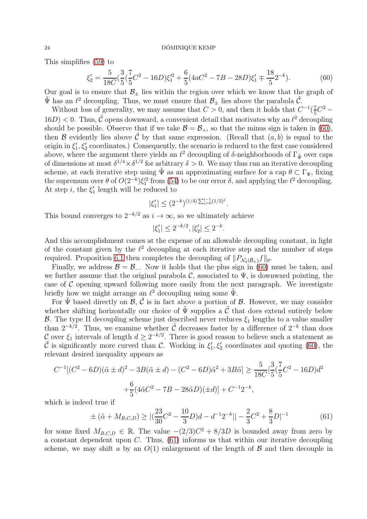This simplifies [\(59\)](#page-22-5) to

<span id="page-23-0"></span>
$$
\xi_2' = \frac{5}{18C} \left( \frac{3}{5} \left( \frac{7}{5} C^2 - 16D \right) \xi_1'^2 + \frac{6}{5} (4aC^2 - 7B - 28D) \xi_1' \right) \frac{18}{5} 2^{-k}.
$$
 (60)

Our goal is to ensure that  $\mathcal{B}_+$  lies within the region over which we know that the graph of  $\tilde{\Psi}$  has an  $\ell^2$  decoupling. Thus, we must ensure that  $\mathcal{B}_{\pm}$  lies above the parabola  $\tilde{\mathcal{C}}$ .

Without loss of generality, we may assume that  $C > 0$ , and then it holds that  $C^{-1}(\frac{7}{5})$  $\frac{7}{5}C^2 16D$  < 0. Thus,  $\tilde{C}$  opens downward, a convenient detail that motivates why an  $\ell^2$  decoupling should be possible. Observe that if we take  $\mathcal{B} = \mathcal{B}_+$ , so that the minus sign is taken in [\(60\)](#page-23-0), then B evidently lies above  $\hat{C}$  by that same expression. (Recall that  $(a, b)$  is equal to the origin in  $\xi'_1, \xi'_2$  coordinates.) Consequently, the scenario is reduced to the first case considered above, where the argument there yields an  $\ell^2$  decoupling of  $\delta$ -neighborhoods of  $\Gamma_{\tilde{\Psi}}$  over caps of dimensions at most  $\delta^{1/4} \times \delta^{1/2}$  for arbitrary  $\delta > 0$ . We may thus run an iterative decoupling scheme, at each iterative step using  $\tilde{\Psi}$  as an approximating surface for a cap  $\theta \subset \Gamma_{\Psi}$ , fixing the supremum over  $\theta$  of  $O(2^{-k})\xi_1^2$  from [\(54\)](#page-22-2) to be our error  $\delta$ , and applying the  $\ell^2$  decoupling. At step *i*, the  $\xi_1'$  length will be reduced to

$$
|\xi_1'| \le (2^{-k})^{(1/4)\sum_{j=0}^{i-1} (1/2)^j}.
$$

This bound converges to  $2^{-k/2}$  as  $i \to \infty$ , so we ultimately achieve

$$
|\xi_1'| \le 2^{-k/2}, |\xi_2'| \le 2^{-k}.
$$

And this accomplishment comes at the expense of an allowable decoupling constant, in light of the constant given by the  $\ell^2$  decoupling at each iterative step and the number of steps required. Proposition [6.1](#page-12-0) then completes the decoupling of  $||P_{\mathcal{N}_\delta(\tilde{\mathcal{B}}_+)}f||_p$ .

Finally, we address  $\mathcal{B} = \mathcal{B}_-$ . Now it holds that the plus sign in [\(60\)](#page-23-0) must be taken, and we further assume that the original parabola  $\mathcal{C}$ , associated to  $\Psi$ , is downward pointing, the case of  $\mathcal C$  opening upward following more easily from the next paragraph. We investigate briefly how we might arrange an  $\ell^2$  decoupling using some  $\tilde{\Psi}$ .

For  $\tilde{\Psi}$  based directly on  $\mathcal{B}, \tilde{\mathcal{C}}$  is in fact above a portion of  $\mathcal{B}$ . However, we may consider whether shifting horizontally our choice of  $\tilde{\Psi}$  supplies a  $\tilde{\mathcal{C}}$  that does extend entirely below B. The type II decoupling scheme just described never reduces  $\xi_1$  lengths to a value smaller than  $2^{-k/2}$ . Thus, we examine whether  $\tilde{C}$  decreases faster by a difference of  $2^{-k}$  than does C over  $\xi_1$  intervals of length  $d \geq 2^{-k/2}$ . There is good reason to believe such a statement as  $\tilde{\mathcal{C}}$  is significantly more curved than  $\mathcal{C}$ . Working in  $\xi'_1, \xi'_2$  coordinates and quoting [\(60\)](#page-23-0), the relevant desired inequality appears as

$$
C^{-1}[(C^2 - 6D)(\tilde{\alpha} \pm d)^2 - 3B(\tilde{\alpha} \pm d) - (C^2 - 6D)\tilde{\alpha}^2 + 3B\tilde{\alpha}] \ge \frac{5}{18C}[\frac{3}{5}(\frac{7}{5}C^2 - 16D)d^2
$$

$$
+\frac{6}{5}(4\tilde{\alpha}C^2 - 7B - 28\tilde{\alpha}D)(\pm d)] + C^{-1}2^{-k},
$$

which is indeed true if

<span id="page-23-1"></span>
$$
\pm (\tilde{\alpha} + M_{B,C,D}) \ge |(\frac{23}{30}C^2 - \frac{10}{3}D)d - d^{-1}2^{-k}|| - \frac{2}{3}C^2 + \frac{8}{3}D|^{-1}
$$
(61)

for some fixed  $M_{B,C,D} \in \mathbb{R}$ . The value  $-(2/3)C^2 + 8/3D$  is bounded away from zero by a constant dependent upon  $C$ . Thus,  $(61)$  informs us that within our iterative decoupling scheme, we may shift a by an  $O(1)$  enlargement of the length of  $\beta$  and then decouple in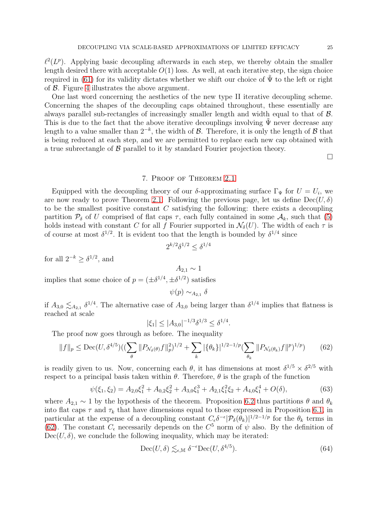$\ell^2(L^p)$ . Applying basic decoupling afterwards in each step, we thereby obtain the smaller length desired there with acceptable  $O(1)$  loss. As well, at each iterative step, the sign choice required in [\(61\)](#page-23-1) for its validity dictates whether we shift our choice of  $\tilde{\Psi}$  to the left or right of B. Figure [4](#page-25-0) illustrates the above argument.

One last word concerning the aesthetics of the new type II iterative decoupling scheme. Concerning the shapes of the decoupling caps obtained throughout, these essentially are always parallel sub-rectangles of increasingly smaller length and width equal to that of B. This is due to the fact that the above iterative decouplings involving  $\Psi$  never decrease any length to a value smaller than  $2^{-k}$ , the width of  $\mathcal{B}$ . Therefore, it is only the length of  $\mathcal{B}$  that is being reduced at each step, and we are permitted to replace each new cap obtained with a true subrectangle of  $\beta$  parallel to it by standard Fourier projection theory.

 $\Box$ 

## 7. Proof of Theorem [2.1](#page-3-0)

Equipped with the decoupling theory of our  $\delta$ -approximating surface  $\Gamma_{\Psi}$  for  $U = U_i$ , we are now ready to prove Theorem [2.1.](#page-3-0) Following the previous page, let us define  $\text{Dec}(U, \delta)$ to be the smallest positive constant  $C$  satisfying the following: there exists a decoupling partition  $P_{\delta}$  of U comprised of flat caps  $\tau$ , each fully contained in some  $\mathcal{A}_k$ , such that [\(5\)](#page-3-2) holds instead with constant C for all f Fourier supported in  $\mathcal{N}_{\delta}(U)$ . The width of each  $\tau$  is of course at most  $\delta^{1/2}$ . It is evident too that the length is bounded by  $\delta^{1/4}$  since

$$
2^{k/2}\delta^{1/2} \le \delta^{1/4}
$$

for all  $2^{-k} \geq \delta^{1/2}$ , and

implies that some choice of  $p = (\pm \delta^{1/4}, \pm \delta^{1/2})$  satisfies

 $\psi(p) \sim_{A_{2,1}} \delta$ 

 $A_{2,1} \sim 1$ 

if  $A_{3,0} \lesssim_{A_{2,1}} \delta^{1/4}$ . The alternative case of  $A_{3,0}$  being larger than  $\delta^{1/4}$  implies that flatness is reached at scale

$$
|\xi_1| \le |A_{3,0}|^{-1/3} \delta^{1/3} \le \delta^{1/4}
$$

The proof now goes through as before. The inequality

<span id="page-24-0"></span>
$$
||f||_p \le \text{Dec}(U, \delta^{4/5}) \left( \left( \sum_{\theta} ||P_{\mathcal{N}_\delta(\theta)} f||_p^2 \right)^{1/2} + \sum_{k} |\{\theta_k\}|^{1/2 - 1/p} \left( \sum_{\theta_k} ||P_{\mathcal{N}_\delta(\theta_k)} f||_p^2 \right)^{1/p} \right) \tag{62}
$$

is readily given to us. Now, concerning each  $\theta$ , it has dimensions at most  $\delta^{1/5} \times \delta^{2/5}$  with respect to a principal basis taken within  $\theta$ . Therefore,  $\theta$  is the graph of the function

$$
\psi(\xi_1, \xi_2) = A_{2,0}\xi_1^2 + A_{0,2}\xi_2^2 + A_{3,0}\xi_1^3 + A_{2,1}\xi_1^2\xi_2 + A_{4,0}\xi_1^4 + O(\delta),\tag{63}
$$

where  $A_{2,1} \sim 1$  by the hypothesis of the theorem. Proposition [6.2](#page-19-0) thus partitions  $\theta$  and  $\theta_k$ into flat caps  $\tau$  and  $\tau_k$  that have dimensions equal to those expressed in Proposition [6.1,](#page-12-0) in particular at the expense of a decoupling constant  $C_{\epsilon} \delta^{-\epsilon} |P_{\delta}(\theta_k)|^{1/2-1/p}$  for the  $\theta_k$  terms in [\(62\)](#page-24-0). The constant  $C_{\epsilon}$  necessarily depends on the  $C^5$  norm of  $\psi$  also. By the definition of  $Dec(U, \delta)$ , we conclude the following inequality, which may be iterated:

$$
\text{Dec}(U,\delta) \lesssim_{\epsilon,\mathbb{M}} \delta^{-\epsilon} \text{Dec}(U,\delta^{4/5}).\tag{64}
$$

.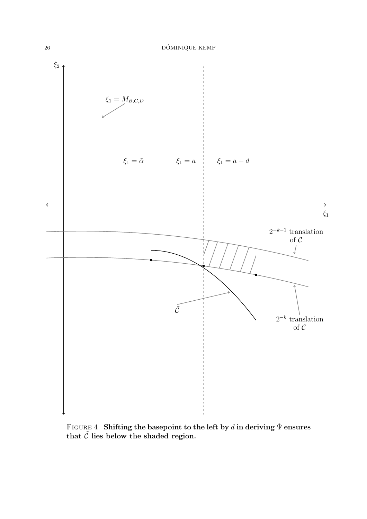

<span id="page-25-0"></span>FIGURE 4. Shifting the basepoint to the left by d in deriving  $\tilde{\Psi}$  ensures that  $\tilde{C}$  lies below the shaded region.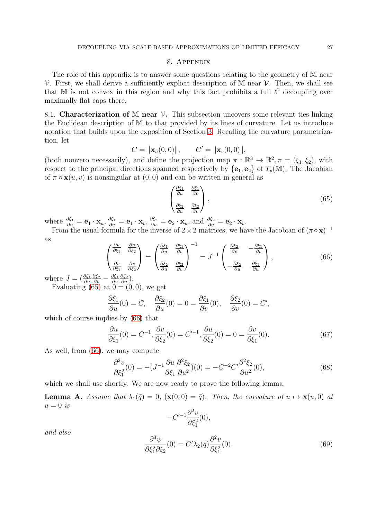#### 8. Appendix

The role of this appendix is to answer some questions relating to the geometry of M near  $\mathcal V$ . First, we shall derive a sufficiently explicit description of M near  $\mathcal V$ . Then, we shall see that M is not convex in this region and why this fact prohibits a full  $\ell^2$  decoupling over maximally flat caps there.

<span id="page-26-0"></span>8.1. Characterization of M near  $\mathcal V$ . This subsection uncovers some relevant ties linking the Euclidean description of M to that provided by its lines of curvature. Let us introduce notation that builds upon the exposition of Section [3.](#page-3-1) Recalling the curvature parametrization, let

$$
C = \|\mathbf{x}_{u}(0,0)\|, \qquad C' = \|\mathbf{x}_{v}(0,0)\|,
$$

(both nonzero necessarily), and define the projection map  $\pi : \mathbb{R}^3 \to \mathbb{R}^2, \pi = (\xi_1, \xi_2)$ , with respect to the principal directions spanned respectively by  ${e_1, e_2}$  of  $T_p(\mathbb{M})$ . The Jacobian of  $\pi \circ \mathbf{x}(u, v)$  is nonsingular at  $(0, 0)$  and can be written in general as

<span id="page-26-1"></span>
$$
\begin{pmatrix}\n\frac{\partial \xi_1}{\partial u} & \frac{\partial \xi_1}{\partial v} \\
\frac{\partial \xi_2}{\partial u} & \frac{\partial \xi_2}{\partial v}\n\end{pmatrix},\n\tag{65}
$$

where  $\frac{\partial \xi_1}{\partial u} = \mathbf{e}_1 \cdot \mathbf{x}_u, \frac{\partial \xi_1}{\partial v} = \mathbf{e}_1 \cdot \mathbf{x}_v, \frac{\partial \xi_2}{\partial u} = \mathbf{e}_2 \cdot \mathbf{x}_u$ , and  $\frac{\partial \xi_2}{\partial v} = \mathbf{e}_2 \cdot \mathbf{x}_v$ .

From the usual formula for the inverse of  $2 \times 2$  matrices, we have the Jacobian of  $(\pi \circ x)^{-1}$ as

<span id="page-26-2"></span>
$$
\begin{pmatrix}\n\frac{\partial u}{\partial \xi_1} & \frac{\partial u}{\partial \xi_2} \\
\frac{\partial v}{\partial \xi_1} & \frac{\partial v}{\partial \xi_2}\n\end{pmatrix} = \begin{pmatrix}\n\frac{\partial \xi_1}{\partial u} & \frac{\partial \xi_1}{\partial v} \\
\frac{\partial \xi_2}{\partial u} & \frac{\partial \xi_2}{\partial v}\n\end{pmatrix}^{-1} = J^{-1} \begin{pmatrix}\n\frac{\partial \xi_2}{\partial v} & -\frac{\partial \xi_1}{\partial v} \\
-\frac{\partial \xi_2}{\partial u} & \frac{\partial \xi_1}{\partial u}\n\end{pmatrix},
$$
\n(66)

where  $J = \left(\frac{\partial \xi_1}{\partial u}\right)$  $\frac{\partial \xi_2}{\partial v} - \frac{\partial \xi_1}{\partial v}$ ∂v  $\frac{\partial \xi_2}{\partial u}\big).$ 

Evaluating [\(65\)](#page-26-1) at  $0 = (0, 0)$ , we get

$$
\frac{\partial \xi_1}{\partial u}(0) = C, \quad \frac{\partial \xi_2}{\partial u}(0) = 0 = \frac{\partial \xi_1}{\partial v}(0), \quad \frac{\partial \xi_2}{\partial v}(0) = C',
$$

which of course implies by [\(66\)](#page-26-2) that

<span id="page-26-5"></span>
$$
\frac{\partial u}{\partial \xi_1}(0) = C^{-1}, \frac{\partial v}{\partial \xi_2}(0) = C'^{-1}, \frac{\partial u}{\partial \xi_2}(0) = 0 = \frac{\partial v}{\partial \xi_1}(0). \tag{67}
$$

As well, from [\(66\)](#page-26-2), we may compute

<span id="page-26-3"></span>
$$
\frac{\partial^2 v}{\partial \xi_1^2}(0) = -(J^{-1}\frac{\partial u}{\partial \xi_1}\frac{\partial^2 \xi_2}{\partial u^2})(0) = -C^{-2}C'\frac{\partial^2 \xi_2}{\partial u^2}(0),\tag{68}
$$

which we shall use shortly. We are now ready to prove the following lemma.

**Lemma A.** Assume that  $\lambda_1(\bar{q}) = 0$ ,  $(\mathbf{x}(0, 0) = \bar{q})$ . Then, the curvature of  $u \mapsto \mathbf{x}(u, 0)$  at  $u=0$  is

$$
-C'^{-1}\frac{\partial^2 v}{\partial \xi_1^2}(0),
$$

and also

<span id="page-26-4"></span>
$$
\frac{\partial^3 \psi}{\partial \xi_1^2 \partial \xi_2}(0) = C' \lambda_2(\bar{q}) \frac{\partial^2 v}{\partial \xi_1^2}(0). \tag{69}
$$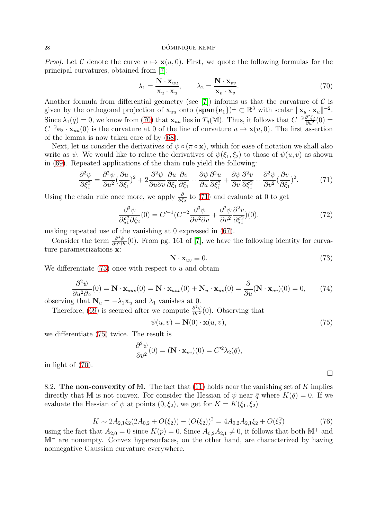#### 28 DOMINIQUE KEMP ´

*Proof.* Let C denote the curve  $u \mapsto \mathbf{x}(u, 0)$ . First, we quote the following formulas for the principal curvatures, obtained from [\[7\]](#page-28-10):

<span id="page-27-0"></span>
$$
\lambda_1 = \frac{\mathbf{N} \cdot \mathbf{x}_{uu}}{\mathbf{x}_u \cdot \mathbf{x}_u}, \qquad \lambda_2 = \frac{\mathbf{N} \cdot \mathbf{x}_{vv}}{\mathbf{x}_v \cdot \mathbf{x}_v}.
$$
 (70)

Another formula from differential geometry (see [\[7\]](#page-28-10)) informs us that the curvature of  $\mathcal C$  is given by the orthogonal projection of  $\mathbf{x}_{uu}$  onto  $(\textbf{span}\{\mathbf{e}_1\})^{\perp} \subset \mathbb{R}^3$  with scalar  $\|\mathbf{x}_{u} \cdot \mathbf{x}_{u}\|^{-2}$ . Since  $\lambda_1(\bar{q}) = 0$ , we know from [\(70\)](#page-27-0) that  $\mathbf{x}_{uu}$  lies in  $T_{\bar{q}}(\mathbb{M})$ . Thus, it follows that  $C^{-2}\frac{\partial^2 \xi_2}{\partial u^2}(0) =$  $C^{-2}e_2 \cdot x_{uu}(0)$  is the curvature at 0 of the line of curvature  $u \mapsto x(u, 0)$ . The first assertion of the lemma is now taken care of by [\(68\)](#page-26-3).

Next, let us consider the derivatives of  $\psi \circ (\pi \circ \mathbf{x})$ , which for ease of notation we shall also write as  $\psi$ . We would like to relate the derivatives of  $\psi(\xi_1, \xi_2)$  to those of  $\psi(u, v)$  as shown in [\(69\)](#page-26-4). Repeated applications of the chain rule yield the following:

<span id="page-27-1"></span>
$$
\frac{\partial^2 \psi}{\partial \xi_1^2} = \frac{\partial^2 \psi}{\partial u^2} \left(\frac{\partial u}{\partial \xi_1}\right)^2 + 2 \frac{\partial^2 \psi}{\partial u \partial v} \frac{\partial u}{\partial \xi_1} \frac{\partial v}{\partial \xi_1} + \frac{\partial \psi}{\partial u} \frac{\partial^2 u}{\partial \xi_1^2} + \frac{\partial \psi}{\partial v} \frac{\partial^2 v}{\partial \xi_1^2} + \frac{\partial^2 \psi}{\partial v^2} \left(\frac{\partial v}{\partial \xi_1}\right)^2. \tag{71}
$$

Using the chain rule once more, we apply  $\frac{\partial}{\partial \xi_2}$  to [\(71\)](#page-27-1) and evaluate at 0 to get

$$
\frac{\partial^3 \psi}{\partial \xi_1^2 \partial \xi_2}(0) = C'^{-1} (C^{-2} \frac{\partial^3 \psi}{\partial u^2 \partial v} + \frac{\partial^2 \psi}{\partial v^2} \frac{\partial^2 v}{\partial \xi_1^2})(0),\tag{72}
$$

making repeated use of the vanishing at 0 expressed in [\(67\)](#page-26-5).

Consider the term  $\frac{\partial^3 \psi}{\partial u^2 \partial v}(0)$ . From pg. 161 of [\[7\]](#page-28-10), we have the following identity for curvature parametrizations x:

<span id="page-27-2"></span>
$$
\mathbf{N} \cdot \mathbf{x}_{uv} \equiv 0. \tag{73}
$$

We differentiate  $(73)$  once with respect to u and obtain

$$
\frac{\partial^2 \psi}{\partial u^2 \partial v}(0) = \mathbf{N} \cdot \mathbf{x}_{uuv}(0) = \mathbf{N} \cdot \mathbf{x}_{uuv}(0) + \mathbf{N}_u \cdot \mathbf{x}_{uv}(0) = \frac{\partial}{\partial u} (\mathbf{N} \cdot \mathbf{x}_{uv})(0) = 0, \quad (74)
$$

observing that  $N_u = -\lambda_1 \mathbf{x}_u$  and  $\lambda_1$  vanishes at 0.

Therefore, [\(69\)](#page-26-4) is secured after we compute  $\frac{\partial^2 \psi}{\partial v^2}(0)$ . Observing that

<span id="page-27-3"></span>
$$
\psi(u,v) = \mathbf{N}(0) \cdot \mathbf{x}(u,v),\tag{75}
$$

we differentiate [\(75\)](#page-27-3) twice. The result is

$$
\frac{\partial^2 \psi}{\partial v^2}(0) = (\mathbf{N} \cdot \mathbf{x}_{vv})(0) = C'^2 \lambda_2(\bar{q}),
$$

in light of [\(70\)](#page-27-0).

8.2. The non-convexity of M. The fact that  $(11)$  holds near the vanishing set of K implies directly that M is not convex. For consider the Hessian of  $\psi$  near  $\bar{q}$  where  $K(\bar{q}) = 0$ . If we evaluate the Hessian of  $\psi$  at points  $(0, \xi_2)$ , we get for  $K = K(\xi_1, \xi_2)$ 

$$
K \sim 2A_{2,1}\xi_2(2A_{0,2} + O(\xi_2)) - (O(\xi_2))^2 = 4A_{0,2}A_{2,1}\xi_2 + O(\xi_2^2)
$$
\n(76)

using the fact that  $A_{2,0} = 0$  since  $K(p) = 0$ . Since  $A_{0,2}A_{2,1} \neq 0$ , it follows that both  $\mathbb{M}^+$  and M<sup>−</sup> are nonempty. Convex hypersurfaces, on the other hand, are characterized by having nonnegative Gaussian curvature everywhere.

 $\Box$